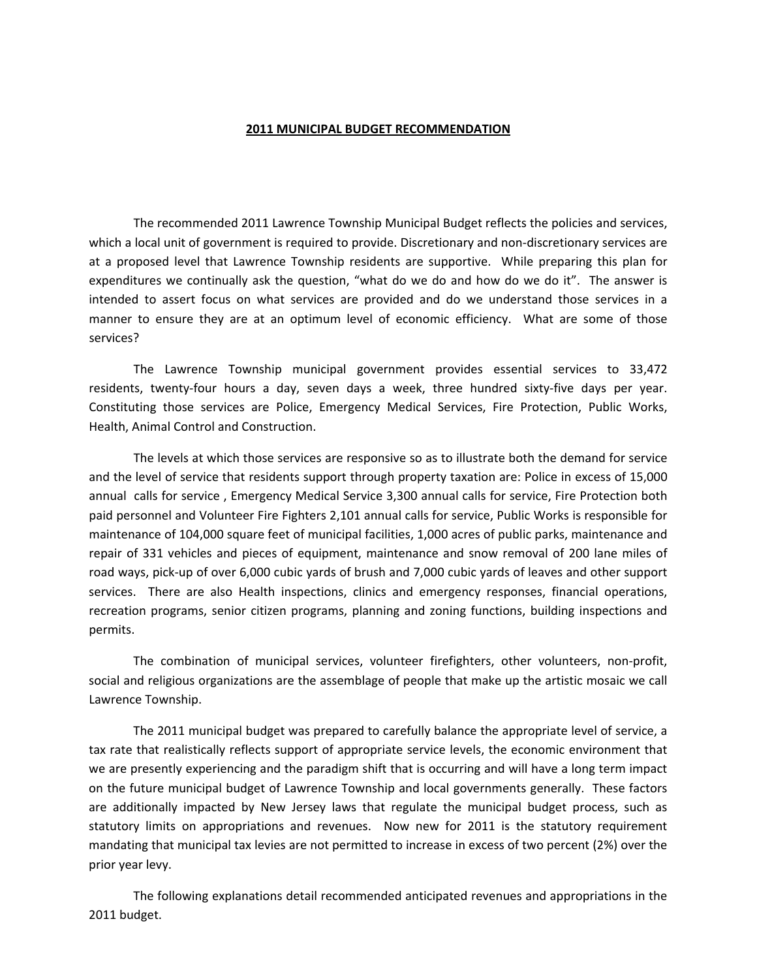## **2011 MUNICIPAL BUDGET RECOMMENDATION**

The recommended 2011 Lawrence Township Municipal Budget reflects the policies and services, which a local unit of government is required to provide. Discretionary and non-discretionary services are at a proposed level that Lawrence Township residents are supportive. While preparing this plan for expenditures we continually ask the question, "what do we do and how do we do it". The answer is intended to assert focus on what services are provided and do we understand those services in a manner to ensure they are at an optimum level of economic efficiency. What are some of those services?

The Lawrence Township municipal government provides essential services to 33,472 residents, twenty-four hours a day, seven days a week, three hundred sixty-five days per year. Constituting those services are Police, Emergency Medical Services, Fire Protection, Public Works, Health, Animal Control and Construction.

The levels at which those services are responsive so as to illustrate both the demand for service and the level of service that residents support through property taxation are: Police in excess of 15,000 annual calls for service , Emergency Medical Service 3,300 annual calls for service, Fire Protection both paid personnel and Volunteer Fire Fighters 2,101 annual calls for service, Public Works is responsible for maintenance of 104,000 square feet of municipal facilities, 1,000 acres of public parks, maintenance and repair of 331 vehicles and pieces of equipment, maintenance and snow removal of 200 lane miles of road ways, pick‐up of over 6,000 cubic yards of brush and 7,000 cubic yards of leaves and other support services. There are also Health inspections, clinics and emergency responses, financial operations, recreation programs, senior citizen programs, planning and zoning functions, building inspections and permits.

The combination of municipal services, volunteer firefighters, other volunteers, non-profit, social and religious organizations are the assemblage of people that make up the artistic mosaic we call Lawrence Township.

The 2011 municipal budget was prepared to carefully balance the appropriate level of service, a tax rate that realistically reflects support of appropriate service levels, the economic environment that we are presently experiencing and the paradigm shift that is occurring and will have a long term impact on the future municipal budget of Lawrence Township and local governments generally. These factors are additionally impacted by New Jersey laws that regulate the municipal budget process, such as statutory limits on appropriations and revenues. Now new for 2011 is the statutory requirement mandating that municipal tax levies are not permitted to increase in excess of two percent (2%) over the prior year levy.

The following explanations detail recommended anticipated revenues and appropriations in the 2011 budget.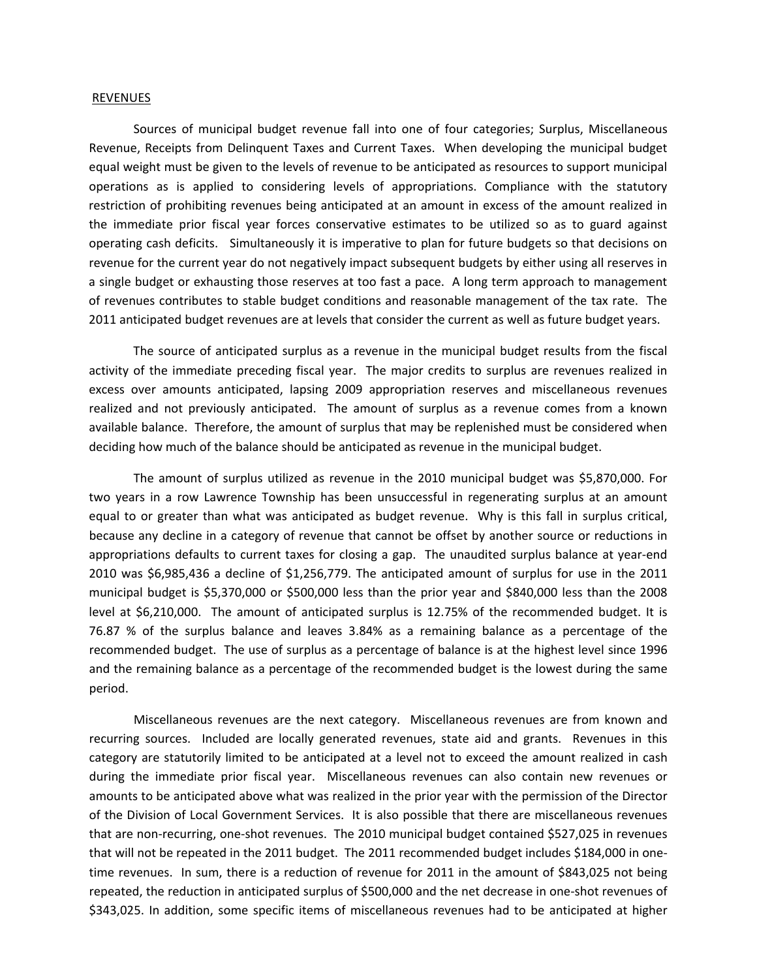## REVENUES

Sources of municipal budget revenue fall into one of four categories; Surplus, Miscellaneous Revenue, Receipts from Delinquent Taxes and Current Taxes. When developing the municipal budget equal weight must be given to the levels of revenue to be anticipated as resources to support municipal operations as is applied to considering levels of appropriations. Compliance with the statutory restriction of prohibiting revenues being anticipated at an amount in excess of the amount realized in the immediate prior fiscal year forces conservative estimates to be utilized so as to guard against operating cash deficits. Simultaneously it is imperative to plan for future budgets so that decisions on revenue for the current year do not negatively impact subsequent budgets by either using all reserves in a single budget or exhausting those reserves at too fast a pace. A long term approach to management of revenues contributes to stable budget conditions and reasonable management of the tax rate. The 2011 anticipated budget revenues are at levels that consider the current as well as future budget years.

The source of anticipated surplus as a revenue in the municipal budget results from the fiscal activity of the immediate preceding fiscal year. The major credits to surplus are revenues realized in excess over amounts anticipated, lapsing 2009 appropriation reserves and miscellaneous revenues realized and not previously anticipated. The amount of surplus as a revenue comes from a known available balance. Therefore, the amount of surplus that may be replenished must be considered when deciding how much of the balance should be anticipated as revenue in the municipal budget.

The amount of surplus utilized as revenue in the 2010 municipal budget was \$5,870,000. For two years in a row Lawrence Township has been unsuccessful in regenerating surplus at an amount equal to or greater than what was anticipated as budget revenue. Why is this fall in surplus critical, because any decline in a category of revenue that cannot be offset by another source or reductions in appropriations defaults to current taxes for closing a gap. The unaudited surplus balance at year-end 2010 was \$6,985,436 a decline of \$1,256,779. The anticipated amount of surplus for use in the 2011 municipal budget is \$5,370,000 or \$500,000 less than the prior year and \$840,000 less than the 2008 level at \$6,210,000. The amount of anticipated surplus is 12.75% of the recommended budget. It is 76.87 % of the surplus balance and leaves 3.84% as a remaining balance as a percentage of the recommended budget. The use of surplus as a percentage of balance is at the highest level since 1996 and the remaining balance as a percentage of the recommended budget is the lowest during the same period.

Miscellaneous revenues are the next category. Miscellaneous revenues are from known and recurring sources. Included are locally generated revenues, state aid and grants. Revenues in this category are statutorily limited to be anticipated at a level not to exceed the amount realized in cash during the immediate prior fiscal year. Miscellaneous revenues can also contain new revenues or amounts to be anticipated above what was realized in the prior year with the permission of the Director of the Division of Local Government Services. It is also possible that there are miscellaneous revenues that are non-recurring, one-shot revenues. The 2010 municipal budget contained \$527,025 in revenues that will not be repeated in the 2011 budget. The 2011 recommended budget includes \$184,000 in onetime revenues. In sum, there is a reduction of revenue for 2011 in the amount of \$843,025 not being repeated, the reduction in anticipated surplus of \$500,000 and the net decrease in one‐shot revenues of \$343,025. In addition, some specific items of miscellaneous revenues had to be anticipated at higher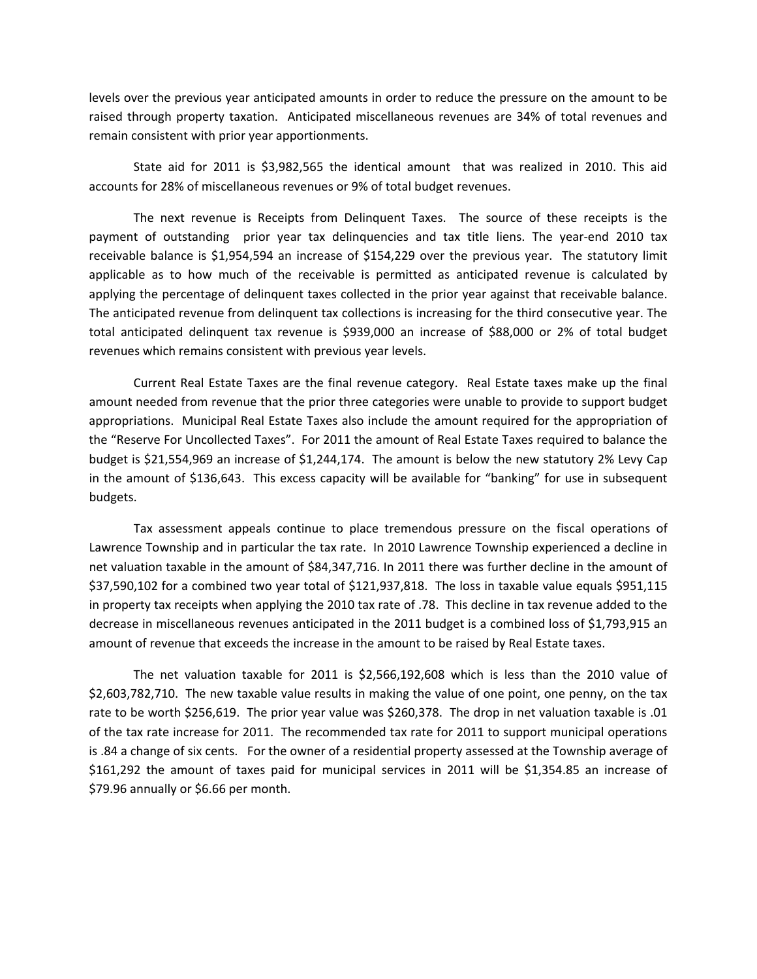levels over the previous year anticipated amounts in order to reduce the pressure on the amount to be raised through property taxation. Anticipated miscellaneous revenues are 34% of total revenues and remain consistent with prior year apportionments.

State aid for 2011 is \$3,982,565 the identical amount that was realized in 2010. This aid accounts for 28% of miscellaneous revenues or 9% of total budget revenues.

The next revenue is Receipts from Delinquent Taxes. The source of these receipts is the payment of outstanding prior year tax delinquencies and tax title liens. The year-end 2010 tax receivable balance is \$1,954,594 an increase of \$154,229 over the previous year. The statutory limit applicable as to how much of the receivable is permitted as anticipated revenue is calculated by applying the percentage of delinquent taxes collected in the prior year against that receivable balance. The anticipated revenue from delinquent tax collections is increasing for the third consecutive year. The total anticipated delinquent tax revenue is \$939,000 an increase of \$88,000 or 2% of total budget revenues which remains consistent with previous year levels.

Current Real Estate Taxes are the final revenue category. Real Estate taxes make up the final amount needed from revenue that the prior three categories were unable to provide to support budget appropriations. Municipal Real Estate Taxes also include the amount required for the appropriation of the "Reserve For Uncollected Taxes". For 2011 the amount of Real Estate Taxes required to balance the budget is \$21,554,969 an increase of \$1,244,174. The amount is below the new statutory 2% Levy Cap in the amount of \$136,643. This excess capacity will be available for "banking" for use in subsequent budgets.

Tax assessment appeals continue to place tremendous pressure on the fiscal operations of Lawrence Township and in particular the tax rate. In 2010 Lawrence Township experienced a decline in net valuation taxable in the amount of \$84,347,716. In 2011 there was further decline in the amount of \$37,590,102 for a combined two year total of \$121,937,818. The loss in taxable value equals \$951,115 in property tax receipts when applying the 2010 tax rate of .78. This decline in tax revenue added to the decrease in miscellaneous revenues anticipated in the 2011 budget is a combined loss of \$1,793,915 an amount of revenue that exceeds the increase in the amount to be raised by Real Estate taxes.

The net valuation taxable for 2011 is \$2,566,192,608 which is less than the 2010 value of \$2,603,782,710. The new taxable value results in making the value of one point, one penny, on the tax rate to be worth \$256,619. The prior year value was \$260,378. The drop in net valuation taxable is .01 of the tax rate increase for 2011. The recommended tax rate for 2011 to support municipal operations is .84 a change of six cents. For the owner of a residential property assessed at the Township average of \$161,292 the amount of taxes paid for municipal services in 2011 will be \$1,354.85 an increase of \$79.96 annually or \$6.66 per month.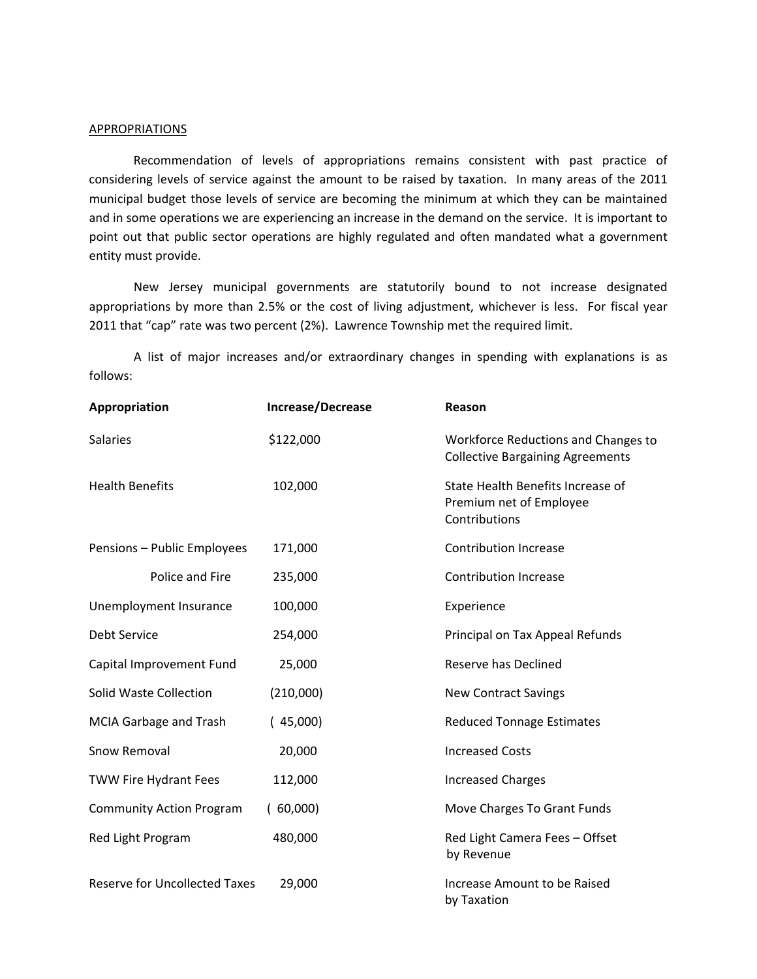## **APPROPRIATIONS**

Recommendation of levels of appropriations remains consistent with past practice of considering levels of service against the amount to be raised by taxation. In many areas of the 2011 municipal budget those levels of service are becoming the minimum at which they can be maintained and in some operations we are experiencing an increase in the demand on the service. It is important to point out that public sector operations are highly regulated and often mandated what a government entity must provide.

New Jersey municipal governments are statutorily bound to not increase designated appropriations by more than 2.5% or the cost of living adjustment, whichever is less. For fiscal year 2011 that "cap" rate was two percent (2%). Lawrence Township met the required limit.

A list of major increases and/or extraordinary changes in spending with explanations is as follows:

| Appropriation                        | Increase/Decrease | Reason                                                                         |
|--------------------------------------|-------------------|--------------------------------------------------------------------------------|
| <b>Salaries</b>                      | \$122,000         | Workforce Reductions and Changes to<br><b>Collective Bargaining Agreements</b> |
| <b>Health Benefits</b>               | 102,000           | State Health Benefits Increase of<br>Premium net of Employee<br>Contributions  |
| Pensions - Public Employees          | 171,000           | <b>Contribution Increase</b>                                                   |
| Police and Fire                      | 235,000           | <b>Contribution Increase</b>                                                   |
| Unemployment Insurance               | 100,000           | Experience                                                                     |
| <b>Debt Service</b>                  | 254,000           | Principal on Tax Appeal Refunds                                                |
| Capital Improvement Fund             | 25,000            | Reserve has Declined                                                           |
| <b>Solid Waste Collection</b>        | (210,000)         | <b>New Contract Savings</b>                                                    |
| MCIA Garbage and Trash               | (45,000)          | <b>Reduced Tonnage Estimates</b>                                               |
| Snow Removal                         | 20,000            | <b>Increased Costs</b>                                                         |
| <b>TWW Fire Hydrant Fees</b>         | 112,000           | <b>Increased Charges</b>                                                       |
| <b>Community Action Program</b>      | (60,000)          | Move Charges To Grant Funds                                                    |
| Red Light Program                    | 480,000           | Red Light Camera Fees - Offset<br>by Revenue                                   |
| <b>Reserve for Uncollected Taxes</b> | 29,000            | Increase Amount to be Raised<br>by Taxation                                    |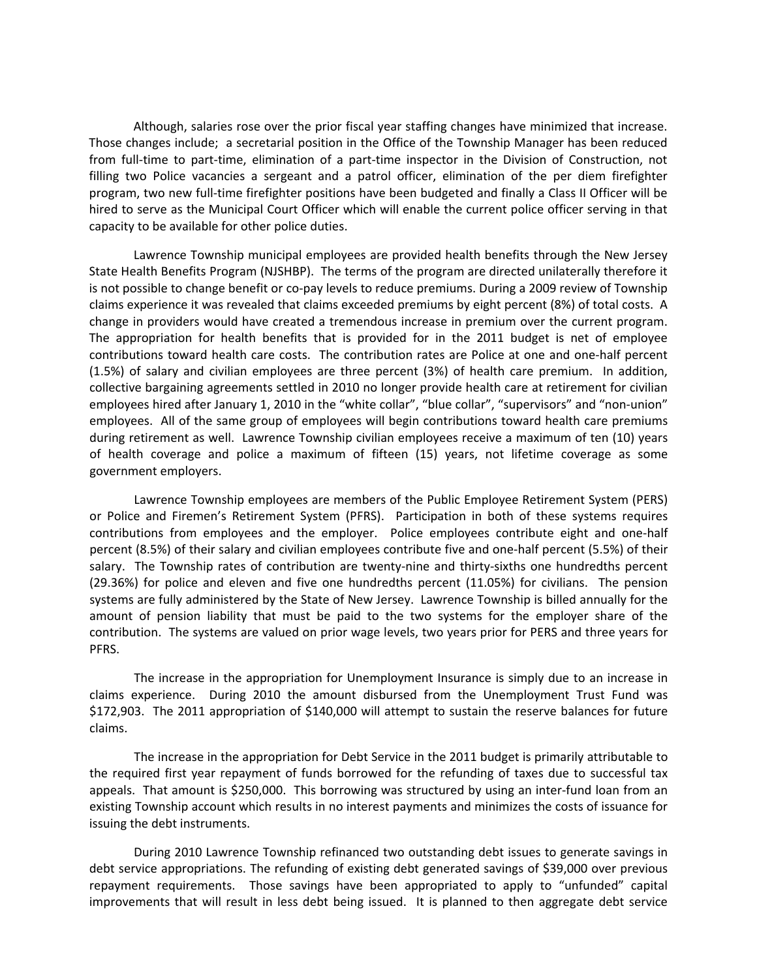Although, salaries rose over the prior fiscal year staffing changes have minimized that increase. Those changes include; a secretarial position in the Office of the Township Manager has been reduced from full-time to part-time, elimination of a part-time inspector in the Division of Construction, not filling two Police vacancies a sergeant and a patrol officer, elimination of the per diem firefighter program, two new full‐time firefighter positions have been budgeted and finally a Class II Officer will be hired to serve as the Municipal Court Officer which will enable the current police officer serving in that capacity to be available for other police duties.

Lawrence Township municipal employees are provided health benefits through the New Jersey State Health Benefits Program (NJSHBP). The terms of the program are directed unilaterally therefore it is not possible to change benefit or co-pay levels to reduce premiums. During a 2009 review of Township claims experience it was revealed that claims exceeded premiums by eight percent (8%) of total costs. A change in providers would have created a tremendous increase in premium over the current program. The appropriation for health benefits that is provided for in the 2011 budget is net of employee contributions toward health care costs. The contribution rates are Police at one and one‐half percent (1.5%) of salary and civilian employees are three percent (3%) of health care premium. In addition, collective bargaining agreements settled in 2010 no longer provide health care at retirement for civilian employees hired after January 1, 2010 in the "white collar", "blue collar", "supervisors" and "non-union" employees. All of the same group of employees will begin contributions toward health care premiums during retirement as well. Lawrence Township civilian employees receive a maximum of ten (10) years of health coverage and police a maximum of fifteen (15) years, not lifetime coverage as some government employers.

Lawrence Township employees are members of the Public Employee Retirement System (PERS) or Police and Firemen's Retirement System (PFRS). Participation in both of these systems requires contributions from employees and the employer. Police employees contribute eight and one-half percent (8.5%) of their salary and civilian employees contribute five and one-half percent (5.5%) of their salary. The Township rates of contribution are twenty-nine and thirty-sixths one hundredths percent (29.36%) for police and eleven and five one hundredths percent (11.05%) for civilians. The pension systems are fully administered by the State of New Jersey. Lawrence Township is billed annually for the amount of pension liability that must be paid to the two systems for the employer share of the contribution. The systems are valued on prior wage levels, two years prior for PERS and three years for PFRS.

The increase in the appropriation for Unemployment Insurance is simply due to an increase in claims experience. During 2010 the amount disbursed from the Unemployment Trust Fund was \$172,903. The 2011 appropriation of \$140,000 will attempt to sustain the reserve balances for future claims.

The increase in the appropriation for Debt Service in the 2011 budget is primarily attributable to the required first year repayment of funds borrowed for the refunding of taxes due to successful tax appeals. That amount is \$250,000. This borrowing was structured by using an inter‐fund loan from an existing Township account which results in no interest payments and minimizes the costs of issuance for issuing the debt instruments.

During 2010 Lawrence Township refinanced two outstanding debt issues to generate savings in debt service appropriations. The refunding of existing debt generated savings of \$39,000 over previous repayment requirements. Those savings have been appropriated to apply to "unfunded" capital improvements that will result in less debt being issued. It is planned to then aggregate debt service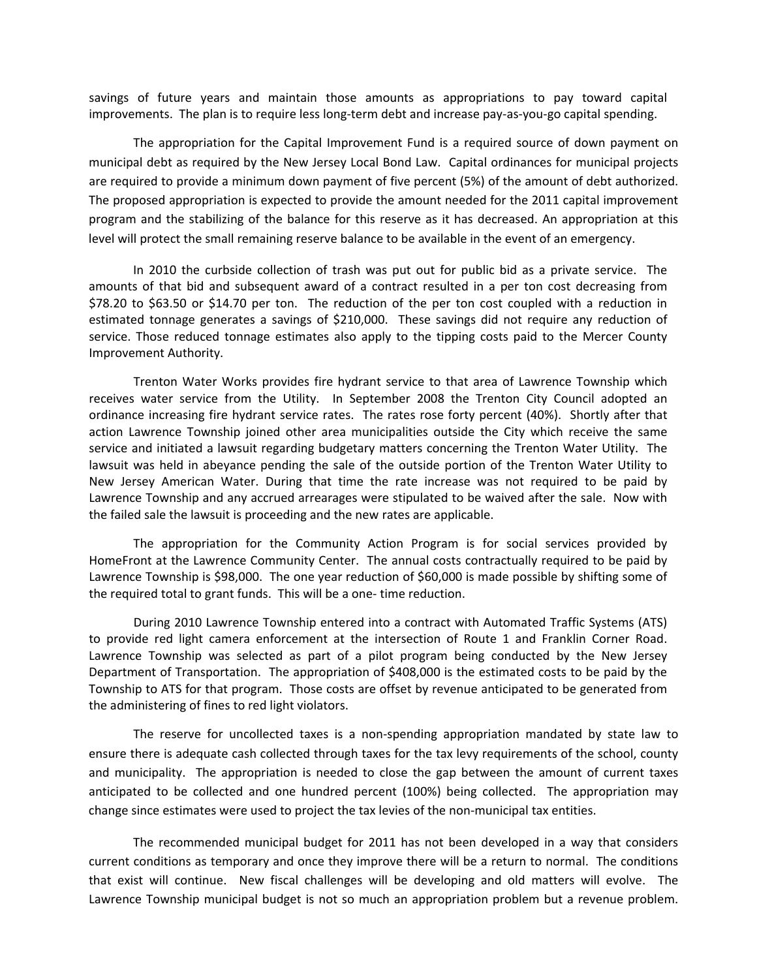savings of future years and maintain those amounts as appropriations to pay toward capital improvements. The plan is to require less long-term debt and increase pay-as-you-go capital spending.

The appropriation for the Capital Improvement Fund is a required source of down payment on municipal debt as required by the New Jersey Local Bond Law. Capital ordinances for municipal projects are required to provide a minimum down payment of five percent (5%) of the amount of debt authorized. The proposed appropriation is expected to provide the amount needed for the 2011 capital improvement program and the stabilizing of the balance for this reserve as it has decreased. An appropriation at this level will protect the small remaining reserve balance to be available in the event of an emergency.

In 2010 the curbside collection of trash was put out for public bid as a private service. The amounts of that bid and subsequent award of a contract resulted in a per ton cost decreasing from \$78.20 to \$63.50 or \$14.70 per ton. The reduction of the per ton cost coupled with a reduction in estimated tonnage generates a savings of \$210,000. These savings did not require any reduction of service. Those reduced tonnage estimates also apply to the tipping costs paid to the Mercer County Improvement Authority.

Trenton Water Works provides fire hydrant service to that area of Lawrence Township which receives water service from the Utility. In September 2008 the Trenton City Council adopted an ordinance increasing fire hydrant service rates. The rates rose forty percent (40%). Shortly after that action Lawrence Township joined other area municipalities outside the City which receive the same service and initiated a lawsuit regarding budgetary matters concerning the Trenton Water Utility. The lawsuit was held in abeyance pending the sale of the outside portion of the Trenton Water Utility to New Jersey American Water. During that time the rate increase was not required to be paid by Lawrence Township and any accrued arrearages were stipulated to be waived after the sale. Now with the failed sale the lawsuit is proceeding and the new rates are applicable.

The appropriation for the Community Action Program is for social services provided by HomeFront at the Lawrence Community Center. The annual costs contractually required to be paid by Lawrence Township is \$98,000. The one year reduction of \$60,000 is made possible by shifting some of the required total to grant funds. This will be a one‐ time reduction.

During 2010 Lawrence Township entered into a contract with Automated Traffic Systems (ATS) to provide red light camera enforcement at the intersection of Route 1 and Franklin Corner Road. Lawrence Township was selected as part of a pilot program being conducted by the New Jersey Department of Transportation. The appropriation of \$408,000 is the estimated costs to be paid by the Township to ATS for that program. Those costs are offset by revenue anticipated to be generated from the administering of fines to red light violators.

The reserve for uncollected taxes is a non‐spending appropriation mandated by state law to ensure there is adequate cash collected through taxes for the tax levy requirements of the school, county and municipality. The appropriation is needed to close the gap between the amount of current taxes anticipated to be collected and one hundred percent (100%) being collected. The appropriation may change since estimates were used to project the tax levies of the non-municipal tax entities.

The recommended municipal budget for 2011 has not been developed in a way that considers current conditions as temporary and once they improve there will be a return to normal. The conditions that exist will continue. New fiscal challenges will be developing and old matters will evolve. The Lawrence Township municipal budget is not so much an appropriation problem but a revenue problem.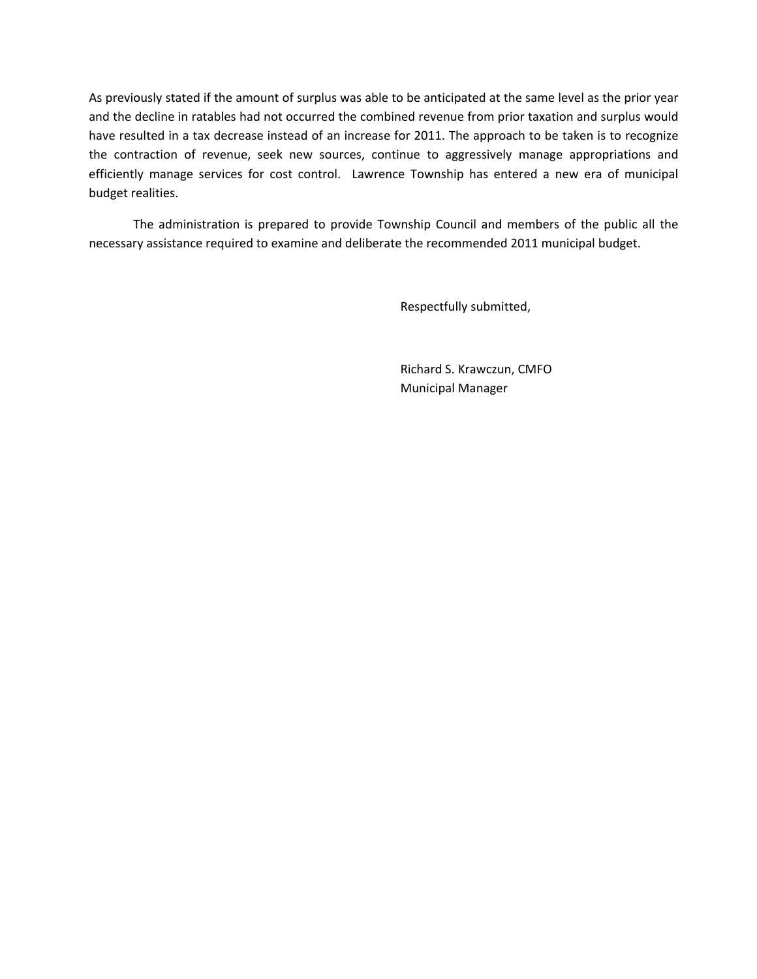As previously stated if the amount of surplus was able to be anticipated at the same level as the prior year and the decline in ratables had not occurred the combined revenue from prior taxation and surplus would have resulted in a tax decrease instead of an increase for 2011. The approach to be taken is to recognize the contraction of revenue, seek new sources, continue to aggressively manage appropriations and efficiently manage services for cost control. Lawrence Township has entered a new era of municipal budget realities.

The administration is prepared to provide Township Council and members of the public all the necessary assistance required to examine and deliberate the recommended 2011 municipal budget.

Respectfully submitted,

 Richard S. Krawczun, CMFO Municipal Manager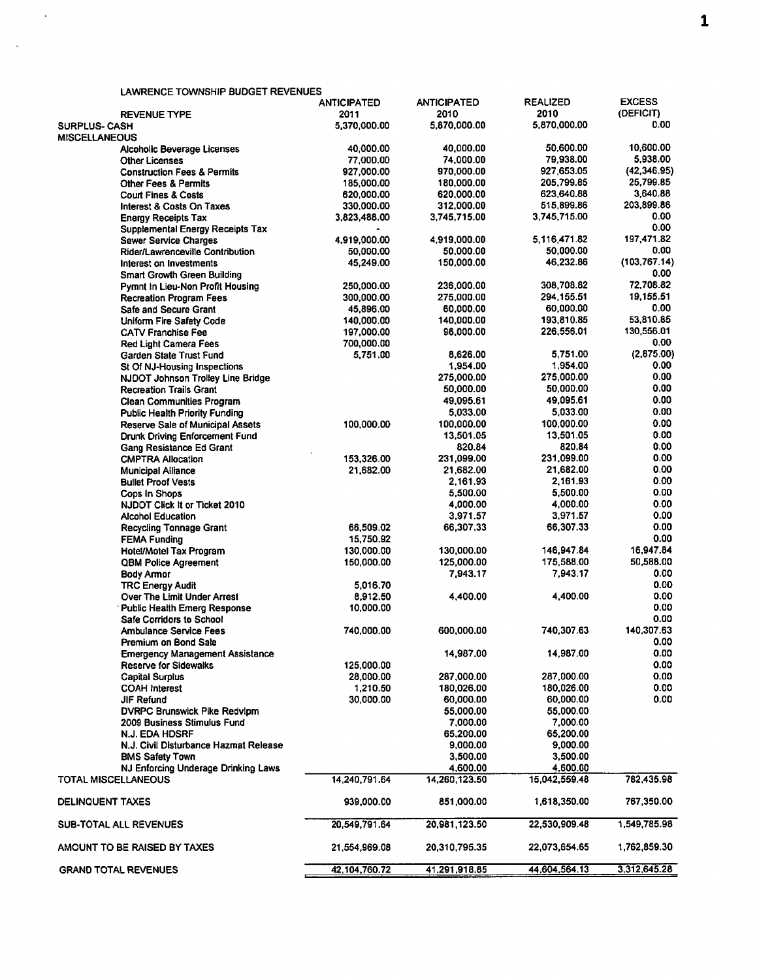| <b>LAWRENCE TOWNSHIP BUDGET REVENUES</b> |                    |                    |                 |                |
|------------------------------------------|--------------------|--------------------|-----------------|----------------|
|                                          | <b>ANTICIPATED</b> | <b>ANTICIPATED</b> | <b>REALIZED</b> | <b>EXCESS</b>  |
| <b>REVENUE TYPE</b>                      | 2011               | 2010               | 2010            | (DEFICIT)      |
| <b>SURPLUS-CASH</b>                      | 5.370.000.00       | 5,870,000.00       | 5,870,000.00    | 0.00           |
| <b>MISCELLANEOUS</b>                     |                    |                    |                 |                |
| Alcoholic Beverage Licenses              | 40,000.00          | 40,000.00          | 50,600.00       | 10,600.00      |
| <b>Other Licenses</b>                    | 77,000.00          | 74,000.00          | 79.938.00       | 5,938.00       |
| <b>Construction Fees &amp; Permits</b>   | 927,000.00         | 970,000.00         | 927.653.05      | (42, 346.95)   |
| <b>Other Fees &amp; Permits</b>          | 185,000.00         | 180,000.00         | 205,799.85      | 25,799.85      |
| <b>Court Fines &amp; Costs</b>           | 620,000.00         | 620,000.00         | 623,640.88      | 3,640.88       |
| Interest & Costs On Taxes                | 330,000.00         | 312,000.00         | 515,899.86      | 203,899.86     |
| <b>Energy Receipts Tax</b>               | 3,823,488.00       | 3,745,715.00       | 3,745,715.00    | 0.00           |
| Supplemental Energy Receipts Tax         |                    |                    |                 | 0.00           |
| <b>Sewer Service Charges</b>             | 4,919,000.00       | 4,919,000.00       | 5,116,471.82    | 197,471.82     |
| Rider/Lawrenceville Contribution         | 50,000.00          | 50,000.00          | 50,000.00       | 0.00           |
| Interest on Investments                  | 45,249.00          | 150,000.00         | 46,232.86       | (103, 767, 14) |
| <b>Smart Growth Green Building</b>       |                    |                    |                 | 0.00           |
| Pymnt In Lieu-Non Profit Housing         | 250,000.00         | 236,000.00         | 308,708.82      | 72,708.82      |
| <b>Recreation Program Fees</b>           | 300,000.00         | 275,000.00         | 294,155.51      | 19,155.51      |
| Safe and Secure Grant                    | 45,896.00          | 60,000.00          | 60,000.00       | 0.00           |
| Uniform Fire Safety Code                 | 140,000.00         | 140,000.00         | 193,810.85      | 53,810.85      |
| <b>CATV Franchise Fee</b>                | 197,000.00         | 96,000.00          | 226,556.01      | 130,556.01     |
| <b>Red Light Camera Fees</b>             | 700,000.00         |                    |                 | 0.00           |
| Garden State Trust Fund                  | 5,751.00           | 8,626.00           | 5,751.00        | (2,875.00)     |
| St Of NJ-Housing Inspections             |                    | 1,954.00           | 1,954.00        | 0.00           |
| NJDOT Johnson Trolley Line Bridge        |                    | 275,000.00         | 275,000.00      | 0.00           |
| <b>Recreation Trails Grant</b>           |                    | 50,000.00          | 50,000.00       | 0.00           |
|                                          |                    | 49,095.61          | 49,095.61       | 0.00           |
| <b>Clean Communities Program</b>         |                    | 5.033.00           | 5,033.00        | 0.00           |
| <b>Public Health Priority Funding</b>    |                    |                    |                 | 0.00           |
| <b>Reserve Sale of Municipal Assets</b>  | 100,000.00         | 100,000.00         | 100,000.00      |                |
| Drunk Driving Enforcement Fund           |                    | 13,501.05          | 13,501.05       | 0.00           |
| Gang Resistance Ed Grant                 |                    | 820.84             | 820.84          | 0.00           |
| <b>CMPTRA Allocation</b>                 | 153,326.00         | 231,099.00         | 231,099.00      | 0.00           |
| <b>Municipal Alliance</b>                | 21,682.00          | 21,682.00          | 21,682.00       | 0.00           |
| <b>Bullet Proof Vests</b>                |                    | 2.161.93           | 2,161.93        | 0.00           |
| Cops In Shops                            |                    | 5,500.00           | 5,500.00        | 0.00           |
| NJDOT Click It or Ticket 2010            |                    | 4,000.00           | 4,000.00        | 0.00           |
| <b>Alcohol Education</b>                 |                    | 3,971.57           | 3,971.57        | 0.00           |
| Recycling Tonnage Grant                  | 66,509.02          | 66,307.33          | 66,307.33       | 0.00           |
| <b>FEMA Funding</b>                      | 15,750.92          |                    |                 | 0.00           |
| <b>Hotel/Motel Tax Program</b>           | 130,000.00         | 130,000.00         | 146,947.84      | 16.947.84      |
| QBM Police Agreement                     | 150,000.00         | 125,000.00         | 175,588.00      | 50,588.00      |
| <b>Body Armor</b>                        |                    | 7,943.17           | 7,943.17        | 0.00           |
| <b>TRC Energy Audit</b>                  | 5,016.70           |                    |                 | 0.00           |
| <b>Over The Limit Under Arrest</b>       | 8,912.50           | 4.400.00           | 4,400.00        | 0.00           |
| <b>Public Health Emerg Response</b>      | 10,000.00          |                    |                 | 0.00           |
| <b>Safe Corridors to School</b>          |                    |                    |                 | 0.00           |
| <b>Ambulance Service Fees</b>            | 740,000.00         | 600,000.00         | 740,307.63      | 140.307.63     |
| Premium on Bond Sale                     |                    |                    |                 | 0.00           |
| <b>Emergency Management Assistance</b>   |                    | 14,987.00          | 14,987.00       | 0.00           |
| Reserve for Sidewalks                    | 125,000.00         |                    |                 | 0.00           |
| <b>Capital Surplus</b>                   | 28,000.00          | 287,000.00         | 287,000.00      | 0.00           |
| <b>COAH Interest</b>                     | 1,210.50           | 180,026.00         | 180,026.00      | 0.00           |
| JIF Refund                               | 30,000.00          | 60,000.00          | 60,000.00       | 0.00           |
| <b>DVRPC Brunswick Pike Redvlpm</b>      |                    | 55,000.00          | 55,000.00       |                |
| 2009 Business Stimulus Fund              |                    | 7,000.00           | 7,000.00        |                |
| <b>N.J. EDA HDSRF</b>                    |                    | 65,200.00          | 65,200.00       |                |
| N.J. Civil Disturbance Hazmat Release    |                    | 9,000.00           | 9,000.00        |                |
|                                          |                    | 3,500.00           | 3,500.00        |                |
| <b>BMS Safety Town</b>                   |                    | 4,600.00           | 4,600.00        |                |
| NJ Enforcing Underage Drinking Laws      |                    |                    |                 |                |
| TOTAL MISCELLANEOUS                      | 14,240,791.64      | 14,260,123.50      | 15,042,559.48   | 782.435.98     |
| <b>DELINQUENT TAXES</b>                  | 939,000.00         | 851,000.00         | 1,618,350.00    | 767,350.00     |
|                                          |                    |                    |                 |                |
| SUB-TOTAL ALL REVENUES                   | 20,549,791.64      | 20,981,123.50      | 22,530,909.48   | 1,549,785.98   |
| AMOUNT TO BE RAISED BY TAXES             | 21,554,969.08      | 20,310,795.35      | 22,073,654.65   | 1,762,859.30   |
|                                          |                    |                    |                 |                |
| <b>GRAND TOTAL REVENUES</b>              | 42,104,760.72      | 41,291,918.85      | 44.604.564.13   | 3,312,645.28   |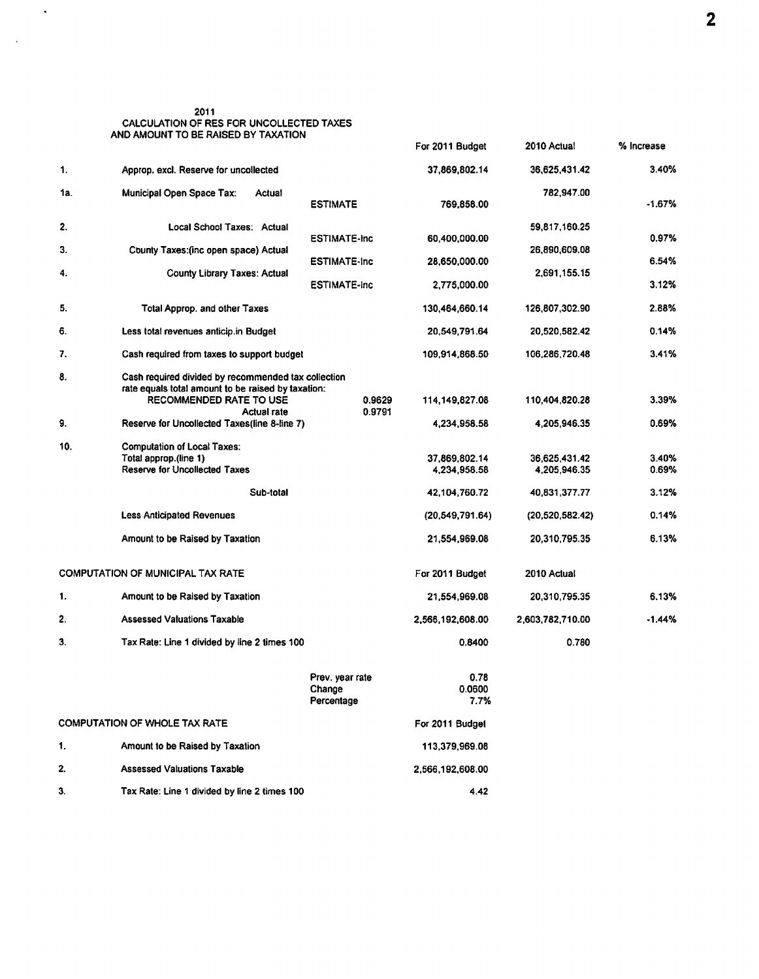| 2011                                     |
|------------------------------------------|
| CALCULATION OF RES FOR UNCOLLECTED TAXES |
| AND AMOUNT TO BE RAISED BY TAXATION      |

 $\mathcal{A}$ 

 $\sim$   $\sim$ 

|     |                                                                                                                                                            |                                         | For 2011 Budget                                | 2010 Actual                                    | % Increase              |
|-----|------------------------------------------------------------------------------------------------------------------------------------------------------------|-----------------------------------------|------------------------------------------------|------------------------------------------------|-------------------------|
| 1.  | Approp. excl. Reserve for uncollected                                                                                                                      |                                         | 37,869,802.14                                  | 36,625,431.42                                  | 3.40%                   |
| 1а. | <b>Municipal Open Space Tax:</b><br>Actual                                                                                                                 | <b>ESTIMATE</b>                         | 769,858.00                                     | 782,947.00                                     | -1.67%                  |
| 2.  | Local School Taxes: Actual                                                                                                                                 |                                         |                                                | 59,817,160.25                                  |                         |
| 3.  | County Taxes: (inc open space) Actual                                                                                                                      | <b>ESTIMATE-Inc</b>                     | 60,400,000.00                                  | 26,890,609.08                                  | 0.97%                   |
| 4.  | <b>County Library Taxes: Actual</b>                                                                                                                        | <b>ESTIMATE-Inc</b>                     | 28,650,000.00                                  | 2,691,155.15                                   | 6.54%                   |
|     |                                                                                                                                                            | <b>ESTIMATE-Inc</b>                     | 2,775,000.00                                   |                                                | 3.12%                   |
| 5.  | <b>Total Approp. and other Taxes</b>                                                                                                                       |                                         | 130.464,660.14                                 | 126,807,302.90                                 | 2.88%                   |
| 6.  | Less total revenues anticip.in Budget                                                                                                                      |                                         | 20,549,791.64                                  | 20,520,582.42                                  | 0.14%                   |
| 7.  | Cash required from taxes to support budget                                                                                                                 |                                         | 109,914,868.50                                 | 106,286,720.48                                 | 3.41%                   |
| 8.  | Cash required divided by recommended tax collection<br>rate equals total amount to be raised by taxation:<br>RECOMMENDED RATE TO USE<br><b>Actual rate</b> | 0.9629<br>0.9791                        | 114, 149, 827.08                               | 110,404,820.28                                 | 3.39%                   |
| 9.  | Reserve for Uncollected Taxes(line 8-line 7)                                                                                                               |                                         | 4,234,958.58                                   | 4,205,946.35                                   | 0.69%                   |
| 10. | <b>Computation of Local Taxes:</b><br>Total approp.(line 1)<br>Reserve for Uncollected Taxes<br>Sub-total                                                  |                                         | 37,869,802.14<br>4,234,958.58<br>42,104,760.72 | 36.625,431.42<br>4.205.946.35<br>40,831,377.77 | 3.40%<br>0.69%<br>3.12% |
|     | <b>Less Anticipated Revenues</b>                                                                                                                           |                                         | (20, 549, 791.64)                              | (20, 520, 582.42)                              | 0.14%                   |
|     | Amount to be Raised by Taxation                                                                                                                            |                                         | 21,554,969.08                                  | 20,310,795.35                                  | 6.13%                   |
|     | <b>COMPUTATION OF MUNICIPAL TAX RATE</b>                                                                                                                   |                                         | For 2011 Budget                                | 2010 Actual                                    |                         |
| 1.  | Amount to be Raised by Taxation                                                                                                                            |                                         | 21,554,969.08                                  | 20,310,795.35                                  | 6.13%                   |
| 2.  | <b>Assessed Valuations Taxable</b>                                                                                                                         |                                         | 2,566,192,608.00                               | 2,603,782,710.00                               | $-1.44%$                |
| 3.  | Tax Rate: Line 1 divided by line 2 times 100                                                                                                               |                                         | 0.8400                                         | 0.780                                          |                         |
|     |                                                                                                                                                            | Prev. year rate<br>Change<br>Percentage | 0.78<br>0.0600<br>7.7%                         |                                                |                         |
|     | <b>COMPUTATION OF WHOLE TAX RATE</b>                                                                                                                       |                                         | For 2011 Budget                                |                                                |                         |
| 1.  | Amount to be Raised by Taxation                                                                                                                            |                                         | 113,379,969.08                                 |                                                |                         |
| 2.  | <b>Assessed Valuations Taxable</b>                                                                                                                         |                                         | 2,566,192,608.00                               |                                                |                         |
| 3.  | Tax Rate: Line 1 divided by line 2 times 100                                                                                                               |                                         | 4.42                                           |                                                |                         |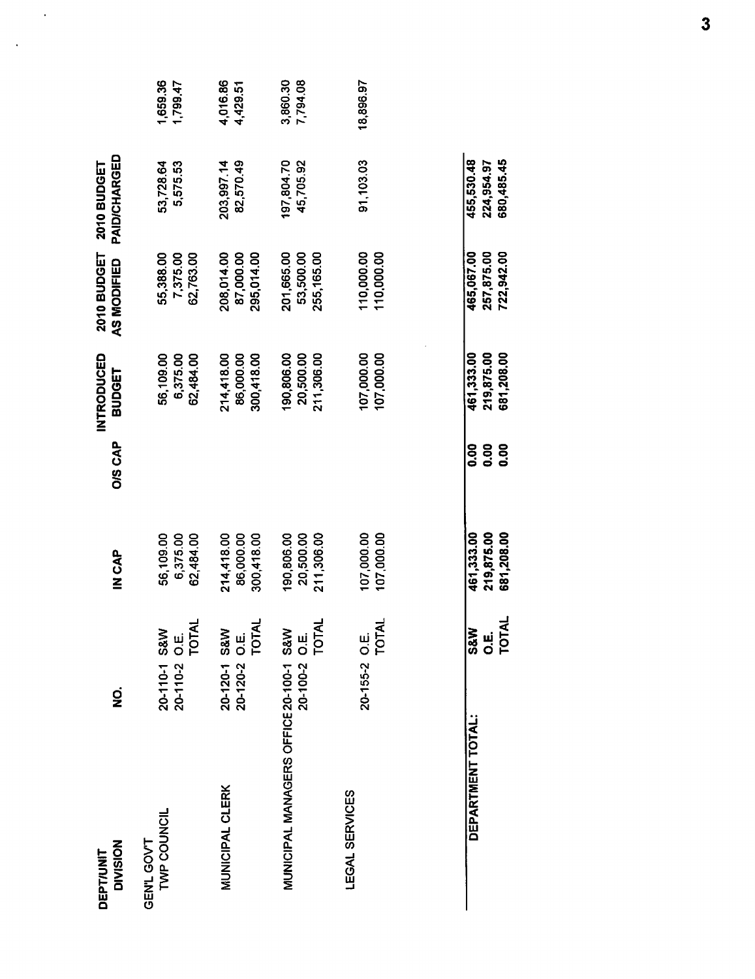| <b>DIVISION</b><br><b>DEPT/UNIT</b>                              | g                                               | IN CAP                                 | <b>O/S CAP</b>                             | INTRODUCED<br><b>BUDGET</b>            | 2010 BUDGET<br>AS MODIFIED             | PAID/CHARGED<br>2010 BUDGET            |                      |
|------------------------------------------------------------------|-------------------------------------------------|----------------------------------------|--------------------------------------------|----------------------------------------|----------------------------------------|----------------------------------------|----------------------|
| TWP COUNCIL<br>GEN'L GOV'T                                       | 20-110-2 O.E.<br>TOTAL<br>S&W<br>$20 - 110 - 1$ | 56,109.00<br>6,375.00<br>62,484.00     |                                            | 56,109.00<br>6,375.00<br>62,484.00     | 55,388.00<br>7,375.00<br>62,763.00     | 53,728.64<br>5,575.53                  | 1,659.36<br>1,799.47 |
| <b>MUNICIPAL CLERK</b>                                           | O.E.<br>TOTAL<br>20-120-1 S&W<br>$20 - 120 - 2$ | 214,418.00<br>86,000.00<br>300,418.00  |                                            | 214,418.00<br>86,000.00<br>300,418.00  | 87,000.00<br>295,014.00<br>208,014.00  | 82,570.49<br>203,997.14                | 4,016.86<br>4,429.51 |
| MUNICIPAL MANAGERS OFFICE 20-100-1 S&W<br>20-100-2 O.E.<br>TOTAL |                                                 | 90,806.00<br>20,500.00<br>211,306.00   |                                            | 190,806.00<br>20,500.00<br>211,306.00  | 201,665.00<br>53,500.00<br>255,165.00  | 197,804.70<br>45,705.92                | 3,860.30<br>7,794.08 |
| LEGAL SERVICES                                                   | 20-155-2 O.E.<br>TOTAL                          | 107,000.00<br>107,000.00               |                                            | 107,000.00<br>107,000.00               | 110,000.00<br>110,000.00               | 91,103.03                              | 18,896.97            |
| <b>DEPARTMENT TOTAL:</b>                                         | <b>O.E.</b><br>TOTAL<br><b>S&amp;W</b>          | 219,875.00<br>681,208.00<br>461,333.00 | <b>0.00</b><br><b>80.00</b><br><b>0.00</b> | 681,208.00<br>219,875.00<br>461,333.00 | 465,067.00<br>257,875.00<br>722,942.00 | 455,530.48<br>680,485.45<br>224,954.97 |                      |

 $\mathcal{L}_{\mathcal{A}}$  ,

 $\sim 10^{-10}$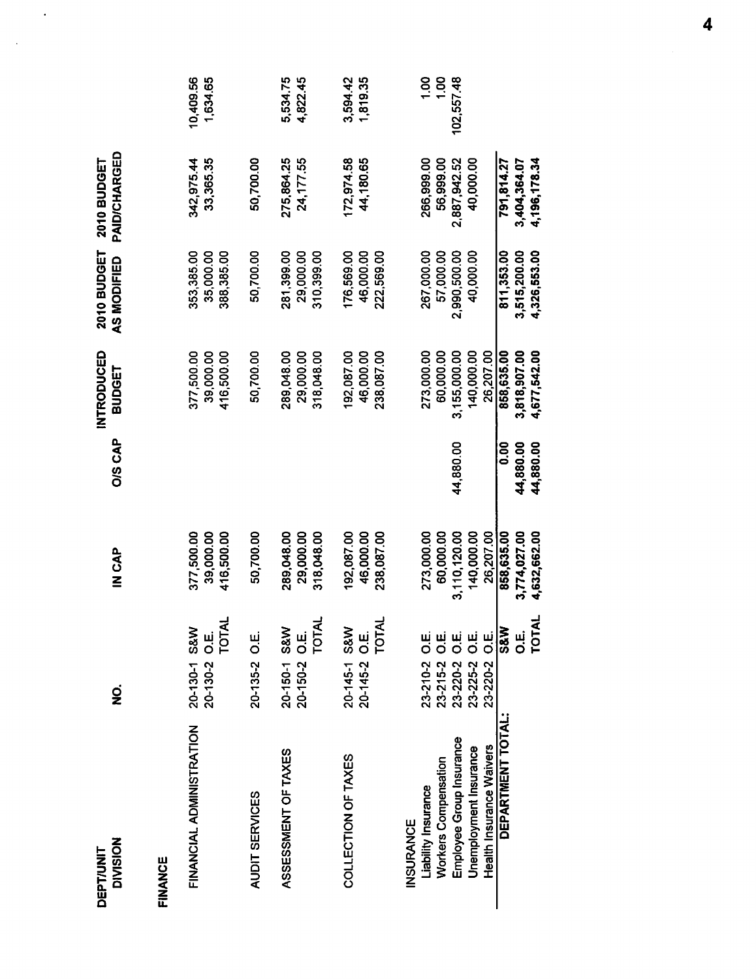| <b>DIVISION</b><br><b>DEPT/UNIT</b>                                                                                                               | g                                                                                 | d<br>N<br>C<br>N                                                   | <b>O/S CAP</b>                 | INTRODUCED<br>BUDGET                                               | 2010 BUDGET<br><b>AS MODIFIED</b>                    | PAID/CHARGED<br>2010 BUDGET                          |                                       |
|---------------------------------------------------------------------------------------------------------------------------------------------------|-----------------------------------------------------------------------------------|--------------------------------------------------------------------|--------------------------------|--------------------------------------------------------------------|------------------------------------------------------|------------------------------------------------------|---------------------------------------|
| EINANCE                                                                                                                                           |                                                                                   |                                                                    |                                |                                                                    |                                                      |                                                      |                                       |
| FINANCIAL ADMINISTRATION                                                                                                                          | 20-130-2 O.E.<br>TOTAL<br>20-130-1 S&W                                            | 377,500.00<br>39,000.00<br>416,500.00                              |                                | 377,500.00<br>39,000.00<br>416,500.00                              | 353,385.00<br>388,385.00<br>35,000.00                | 33,365.35<br>342,975.44                              | 10,409.56<br>1,634.65                 |
| <b>AUDIT SERVICES</b>                                                                                                                             | 20-135-2 O.E.                                                                     | 50,700.00                                                          |                                | 50,700.00                                                          | 50,700.00                                            | 50,700.00                                            |                                       |
| ASSESSMENT OF TAXES                                                                                                                               | 20-150-1 S&W<br>20-150-2 O.E.<br>TOTAL                                            | 289,048.00<br>29.000.00<br>318,048.00                              |                                | 289,048.00<br>29.000.00<br>318,048.00                              | 281,399.00<br>310,399.00<br>29,000.00                | 275,864.25<br>24,177.55                              | 5,534.75<br>4,822.45                  |
| COLLECTION OF TAXES                                                                                                                               | 20-145-2 O.E.<br>TOTAL<br>20-145-1 S&W                                            | 192,087.00<br>46,000.00<br>238,087.00                              |                                | 192,087.00<br>46,000.00<br>238,087.00                              | 176,569.00<br>46,000.00<br>222,569.00                | 172,974.58<br>44,180.65                              | 3,594.42<br>1,819.35                  |
| Employee Group Insurance<br>Health Insurance Waivers<br>Unemployment Insurance<br>Workers Compensation<br>Liability Insurance<br><b>INSURANCE</b> | 23-225-2 O.E.<br>23-220-2 O.E.<br>23-210-2 O.E.<br>23-215-2 O.E.<br>23-220-2 O.E. | 273,000.00<br>3,110,120.00<br>140,000.00<br>60,000.00<br>26,207.00 | 44,880.00                      | 273,000.00<br>140,000.00<br>26,207.00<br>60,000.00<br>3,155,000.00 | 267,000.00<br>2,990,500.00<br>40,000.00<br>57,000.00 | 266,999.00<br>56,999.00<br>2,887,942.52<br>40,000.00 | 1.00<br>$\frac{8}{100}$<br>102,557.48 |
| DEPARTMENT TOTAL:                                                                                                                                 | TOTAL<br><b>Arss</b><br>щ.<br>О                                                   | 858,635.00<br>3,774,027.00<br>4,632,662.00                         | 0.00<br>44,880.00<br>44,880.00 | 858.635.00<br>3,818,907.00<br>4,677,542.00                         | 811,353.00<br>4,326,553.00<br>3,515,200.00           | 4,196,178.34<br>791,814.27<br>3,404,364.07           |                                       |

 $\mathbb{R}^2$ 

 $\mathcal{A}$ 

 $\overline{\mathbf{4}}$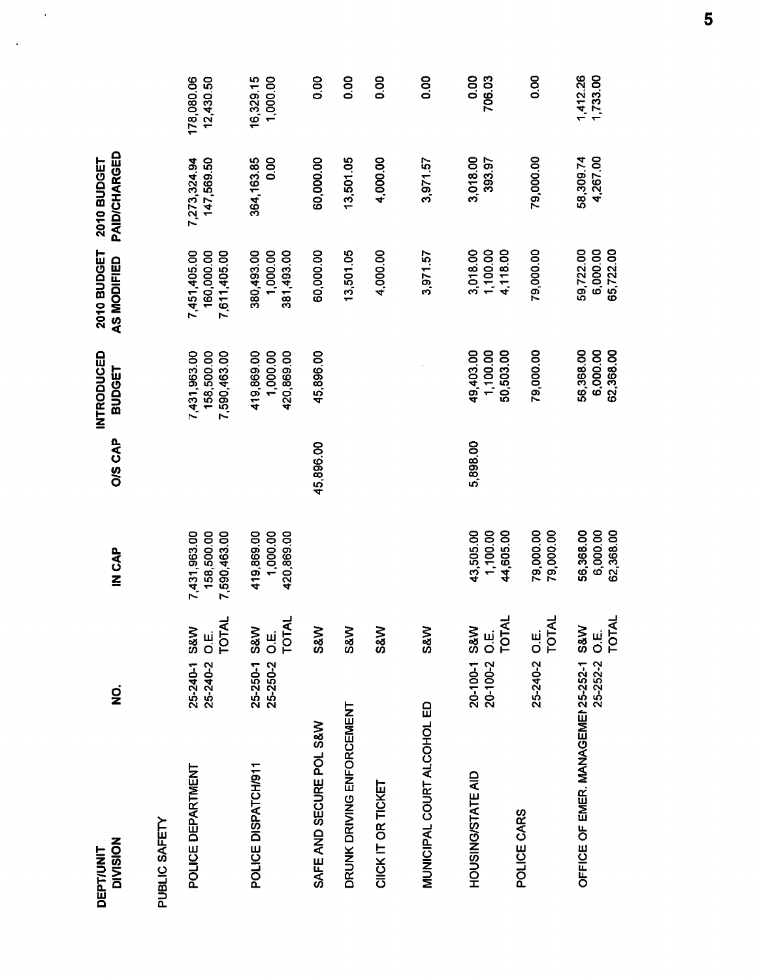| <b>DIVISION</b><br><b>DEPT/UNIT</b>    | g                             |                | IN CAP                                     | O/S CAP   | <b>INTRODUCED</b><br><b>BUDGET</b>         | 2010 BUDGET<br>AS MODIFIED                 | <b>PAID/CHARGED</b><br>2010 BUDGET |                         |
|----------------------------------------|-------------------------------|----------------|--------------------------------------------|-----------|--------------------------------------------|--------------------------------------------|------------------------------------|-------------------------|
| PUBLIC SAFETY                          |                               |                |                                            |           |                                            |                                            |                                    |                         |
| POLICE DEPARTMENT                      | 25-240-1 S&W<br>25-240-2 O.E. | <b>TOTAL</b>   | 7,431,963.00<br>158,500.00<br>7,590,463.00 |           | 7,431,963.00<br>158,500.00<br>7,590,463.00 | 7,451,405.00<br>160,000.00<br>7,611,405.00 | 7,273,324.94<br>147,569.50         | 178,080.06<br>12,430.50 |
| POLICE DISPATCH/911                    | 25-250-1 S&W<br>25-250-2 O.E. | TOTAL          | 419,869.00<br>1,000.00<br>420,869.00       |           | 419,869.00<br>1,000.00<br>420,869.00       | 381,493.00<br>380,493.00<br>1,000.00       | 364,163.85<br>8 <sub>0</sub>       | 16,329.15<br>1,000.00   |
| SAFE AND SECURE POL S&W                |                               | S&W            |                                            | 45,896.00 | 45,896.00                                  | 60,000.00                                  | 60,000.00                          | 0.00                    |
| DRUNK DRIVING ENFORCEMENT              |                               | <b>S&amp;W</b> |                                            |           |                                            | 13,501.05                                  | 13,501.05                          | 0.00                    |
| CIICK IT OR TICKET                     |                               | <b>S&amp;W</b> |                                            |           |                                            | 4,000.00                                   | 4,000.00                           | 0.00                    |
| MUNICIPAL COURT ALCOHOL ED             |                               | <b>S&amp;W</b> |                                            |           |                                            | 3,971.57                                   | 3,971.57                           | 0.00                    |
| HOUSING/STATE AID                      | 20-100-1 S&W<br>20-100-2 O.E. | <b>TOTAL</b>   | 43,505.00<br>1,100.00                      | 5,898.00  | 49,403.00<br>1,100.00                      | 1,100.00<br>3,018.00                       | 3,018.00<br>393.97                 | 0.00<br>706.03          |
| POLICE CARS                            | 25-240-2 O.E.                 | <b>TOTAL</b>   | 44,605.00<br>79,000.00<br>79,000.00        |           | 79,000.00<br>50,503.00                     | 4,118.00<br>79,000.00                      | 79,000.00                          | 0.00                    |
| OFFICE OF EMER. MANAGEMEN 25-252-1 S&W | 25-252-2 O.E.                 | <b>TOTAL</b>   | 56,368.00<br>6,000.00<br>62,368.00         |           | 56,368.00<br>6,000.00<br>62,368.00         | 59,722.00<br>6,000.00<br>65,722.00         | 4,267.00<br>58,309.74              | 1,412.26<br>1,733.00    |

 $\sim 10$ 

 $\sim$   $\sim$ 

 $\overline{\mathbf{5}}$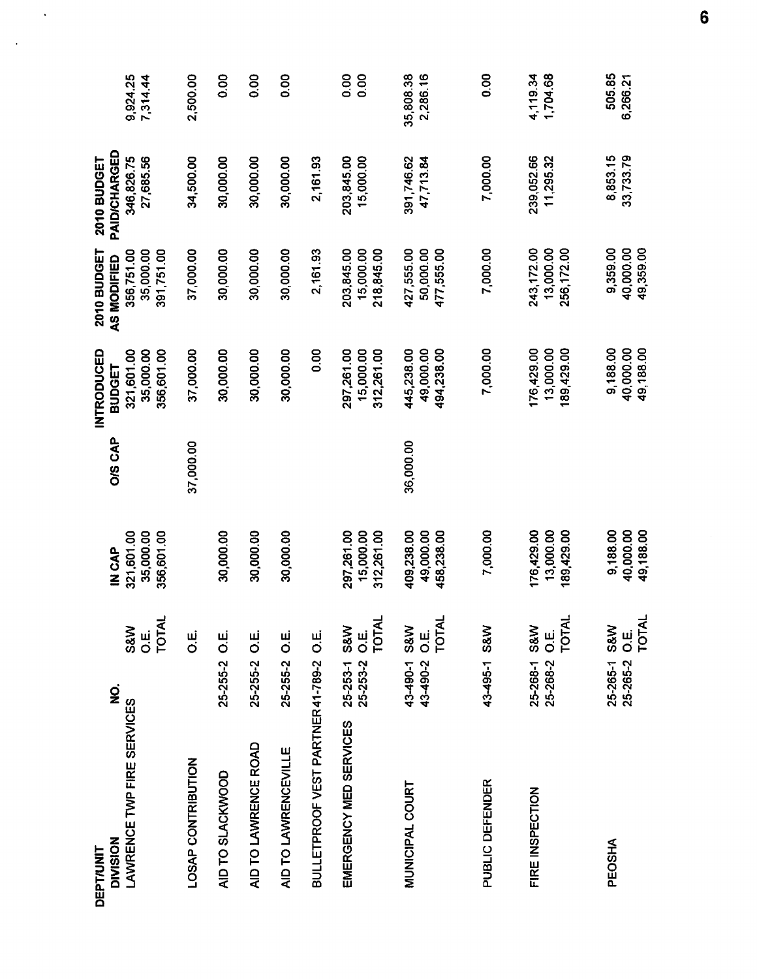| <b>DIVISION</b><br><b>DEPT/UNIT</b>   | $\dot{\mathbf{z}}$       |                                    | <b>CAP</b>                            | O/S CAP   | INTRODUCED<br><b>BUDGET</b>           | 2010 BUDGET<br>AS MODIFIED            | PAID/CHARGED<br>2010 BUDGET |                       |
|---------------------------------------|--------------------------|------------------------------------|---------------------------------------|-----------|---------------------------------------|---------------------------------------|-----------------------------|-----------------------|
| LAWRENCE TWP FIRE SERVICES            |                          | TOTAL<br>S&W<br>ші<br>О            | 321,601.00<br>35,000.00<br>356,601.00 |           | 321,601.00<br>35,000.00<br>356,601.00 | 391,751.00<br>35,000.00<br>356,751.00 | 27,685.56<br>346,826.75     | 9,924.25<br>7,314.44  |
| LOSAP CONTRIBUTION                    |                          | ші<br>О                            |                                       | 37,000.00 | 37,000.00                             | 37,000.00                             | 34,500.00                   | 2,500.00              |
| AID TO SLACKWOOD                      | 25-255-2 O.E.            |                                    | 30,000.00                             |           | 30,000.00                             | 30,000.00                             | 30,000.00                   | 8<br>0.00             |
| AID TO LAWRENCE ROAD                  | 25-255-2 O.E.            |                                    | 30,000.00                             |           | 30,000.00                             | 30,000.00                             | 30,000.00                   | 0.00                  |
| AID TO LAWRENCEVILLE                  | 25-255-2 O.E.            |                                    | 30,000.00                             |           | 30,000.00                             | 30,000.00                             | 30,000.00                   | 0.00                  |
| BULLETPROOF VEST PARTNER41-789-2 O.E. |                          |                                    |                                       |           | 8.00                                  | 2,161.93                              | 2,161.93                    |                       |
| EMERGENCY MED SERVICES                | 25-253-1<br>25-253-2     | TOTAL<br><b>S&amp;W</b><br>LU<br>O | 297,261.00<br>15,000.00<br>312,261.00 |           | 297,261.00<br>15,000.00<br>312,261.00 | 203,845.00<br>15,000.00<br>218,845.00 | 203,845.00<br>15,000.00     | 0.00<br>0.00          |
| MUNICIPAL COURT                       | 43-490-1 S&W<br>43-490-2 | <b>TOTAL</b><br>LU.<br>O           | 409,238.00<br>49,000.00<br>458,238.00 | 36,000.00 | 49,000.00<br>494,238.00<br>445,238.00 | 427,555.00<br>50,000.00<br>477,555.00 | 391,746.62<br>47,713.84     | 35,808.38<br>2,286.16 |
| <b>PUBLIC DEFENDER</b>                | 43-495-1 S&W             |                                    | 7,000.00                              |           | 7,000.00                              | 7,000.00                              | 7,000.00                    | 0.00                  |
| FIRE INSPECTION                       | 25-268-1 S&W<br>25-268-2 | <b>TOTAL</b><br>ui<br>O            | 176,429.00<br>13,000.00<br>189,429.00 |           | 176,429.00<br>13,000.00<br>189,429.00 | 243,172.00<br>13,000.00<br>256,172.00 | 239,052.66<br>11,295.32     | 4,119.34<br>1,704.68  |
| PEOSHA                                | 25-265-1 S&W<br>25-265-2 | <b>TOTAL</b><br>Ш.<br>О            | 9,188.00<br>40,000.00<br>49.188.00    |           | 9,188.00<br>40,000.00<br>49,188.00    | 49,359.00<br>9,359.00<br>40.000.00    | 8,853.15<br>33,733.79       | 505.85<br>6,266.21    |

 $\ddot{\phantom{0}}$ 

 $\ddot{\phantom{a}}$ 

 $\bf{6}$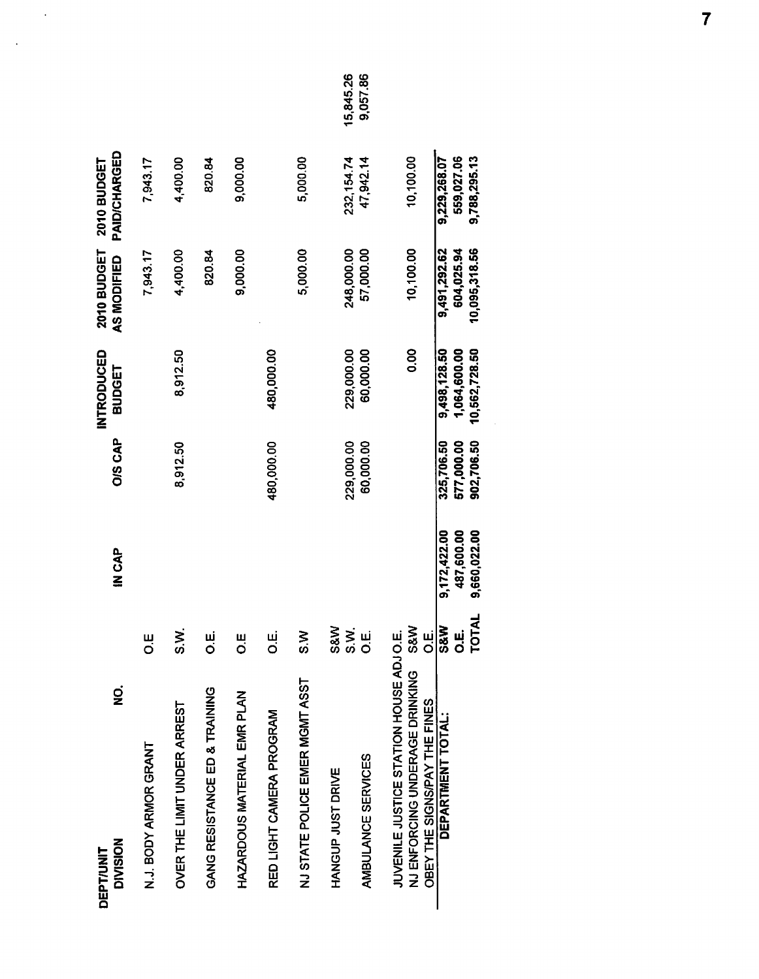| g<br><b>DIVISION</b><br><b>DEPT/UNIT</b>                                                                |                                                 | IN CAP                                     | <b>O/S CAP</b>                         | INTRODUCED<br><b>BUDGET</b>                   | 2010 BUDGET<br>AS MODIFIED                  | <b>PAID/CHARGED</b><br>2010 BUDGET         |           |
|---------------------------------------------------------------------------------------------------------|-------------------------------------------------|--------------------------------------------|----------------------------------------|-----------------------------------------------|---------------------------------------------|--------------------------------------------|-----------|
| N.J. BODY ARMOR GRANT                                                                                   | Ш<br>О                                          |                                            |                                        |                                               | 7,943.17                                    | 7,943.17                                   |           |
| OVER THE LIMIT UNDER ARREST                                                                             | ≥<br>ຜີ                                         |                                            | 8,912.50                               | 8,912.50                                      | 4,400.00                                    | 4,400.00                                   |           |
| GANG RESISTANCE ED & TRAINING                                                                           | ші<br>О                                         |                                            |                                        |                                               | 820.84                                      | 820.84                                     |           |
| HAZARDOUS MATERIAL EMR PLAN                                                                             | Ш<br>О                                          |                                            |                                        |                                               | 9,000.00                                    | 9,000.00                                   |           |
| RED LIGHT CAMERA PROGRAM                                                                                | نیا<br>O                                        |                                            | 480,000.00                             | 480,000.00                                    |                                             |                                            |           |
| NJ STATE POLICE EMER MGMT ASST                                                                          | <b>MS</b>                                       |                                            |                                        |                                               | 5,000.00                                    | 5,000.00                                   |           |
| HANGUP JUST DRIVE                                                                                       | <b>S&amp;W</b>                                  |                                            | 229,000.00                             | 229,000.00                                    | 248,000.00                                  | 232, 154.74                                | 15,845.26 |
| AMBULANCE SERVICES                                                                                      | S.N.<br>ші<br>О                                 |                                            | 60,000.00                              | 60,000.00                                     | 57,000.00                                   | 47,942.14                                  | 9,057.86  |
| JUVENILE JUSTICE STATION HOUSE ADJO.E.<br>NJ ENFORCING UNDERAGE DRINKING<br>OBEY THE SIGNSPAY THE FINES | <b>S&amp;W</b>                                  |                                            |                                        | 0.00                                          | 10,100.00                                   | 10,100.00                                  |           |
| DEPARTMENT TOTAL:                                                                                       | $rac{1}{\frac{1}{\sqrt{3}}}}$<br>TOTA<br>щ<br>О | 9,172,422.00<br>487,600.00<br>9,660,022.00 | 577,000.00<br>902,706.50<br>325,706.50 | 1,064,600.00<br>10,562,728.50<br>9,498,128.50 | 10,095,318.56<br>9,491,292.62<br>604,025.94 | 9,229,268.07<br>559,027.06<br>9,788,295.13 |           |

 $\ddot{\phantom{a}}$ 

 $\mathcal{A}$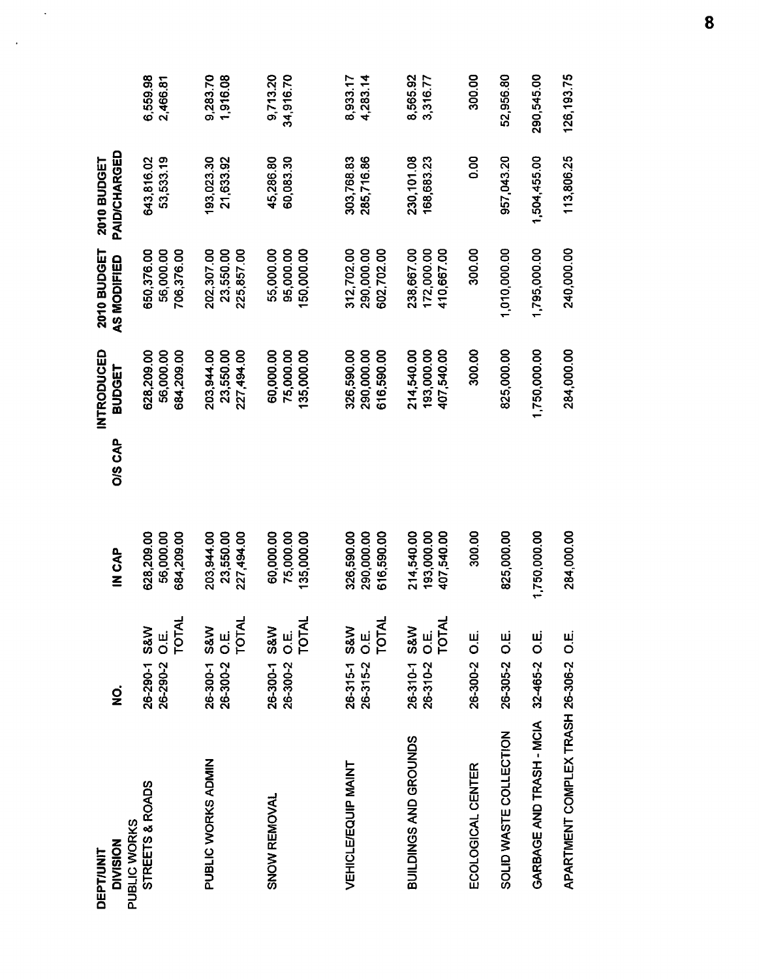| DEPT/UNIT                              |                                                               |                                        |                | INTRODUCED                             | 2010 BUDGET                            | 2010 BUDGET              |                       |
|----------------------------------------|---------------------------------------------------------------|----------------------------------------|----------------|----------------------------------------|----------------------------------------|--------------------------|-----------------------|
| <b>DIVISION</b>                        | gi                                                            | IN CAP                                 | <b>O/S CAP</b> | <b>BUDGET</b>                          | AS MODIFIED                            | PAID/CHARGED             |                       |
| STREETS & ROADS<br>PUBLIC WORKS        | TOTAL<br><b>S&amp;W</b><br>щ<br>О<br>26-290-1<br>26-290-2     | 628,209.00<br>56,000.00<br>684,209.00  |                | 628,209.00<br>56,000.00<br>684,209.00  | 706,376.00<br>650,376.00<br>56,000.00  | 53,533.19<br>643.816.02  | 6,559.98<br>2,466.81  |
| PUBLIC WORKS ADMIN                     | TOTAL<br><b>S&amp;W</b><br>26-300-2 O.E.<br>26-300-1          | 203,944.00<br>227,494.00<br>23,550.00  |                | 203,944.00<br>23,550.00<br>227,494.00  | 202,307.00<br>23,550.00<br>225,857.00  | 193,023.30<br>21,633.92  | 9,283.70<br>1,916.08  |
| SNOW REMOVAL                           | 26-300-2 O.E.<br>TOTAL<br><b>S&amp;W</b><br>26-300-1          | 75,000.00<br>60,000.00<br>35,000.00    |                | 60,000.00<br>75,000.00<br>135,000.00   | 55,000.00<br>95,000.00<br>50,000.00    | 45,286.80<br>60,083.30   | 9,713.20<br>34,916.70 |
| VEHICLE/EQUIP MAINT                    | <b>TOTAL</b><br><b>S&amp;W</b><br>26-315-2 O.E.<br>$26-315-1$ | 326,590.00<br>290,000.00<br>616,590.00 |                | 326.590.00<br>290,000.00<br>616,590.00 | 312,702.00<br>290,000.00<br>602,702.00 | 303.768.83<br>285,716.86 | 4,283.14<br>8,933.17  |
| BUILDINGS AND GROUNDS                  | <b>TOTAL</b><br>S&W<br>26-310-2 O.E.<br>26-310-1              | 214,540.00<br>193,000.00<br>407,540.00 |                | 193,000.00<br>407,540.00<br>214,540.00 | 172,000.00<br>410,667.00<br>238,667.00 | 230,101.08<br>168,683.23 | 8,565.92<br>3,316.77  |
| ECOLOGICAL CENTER                      | 26-300-2 O.E.                                                 | 300.00                                 |                | 300.00                                 | 300.00                                 | 0.00                     | 300.00                |
| SOLID WASTE COLLECTION                 | 26-305-2 O.E.                                                 | 825,000.00                             |                | 825.000.00                             | 1,010,000.00                           | 957,043.20               | 52,956.80             |
| GARBAGE AND TRASH - MCIA 32-465-2 O.E. |                                                               | 1,750,000.00                           |                | 1,750,000.00                           | 1,795,000.00                           | 1,504,455.00             | 290,545.00            |
| APARTMENT COMPLEX TRASH 26-306-2 O.E.  |                                                               | 284,000.00                             |                | 284,000.00                             | 240,000.00                             | 113,806.25               | 126, 193.75           |

 $\mathbb{R}^2$ 

 $\sim 10^{-11}$ 

8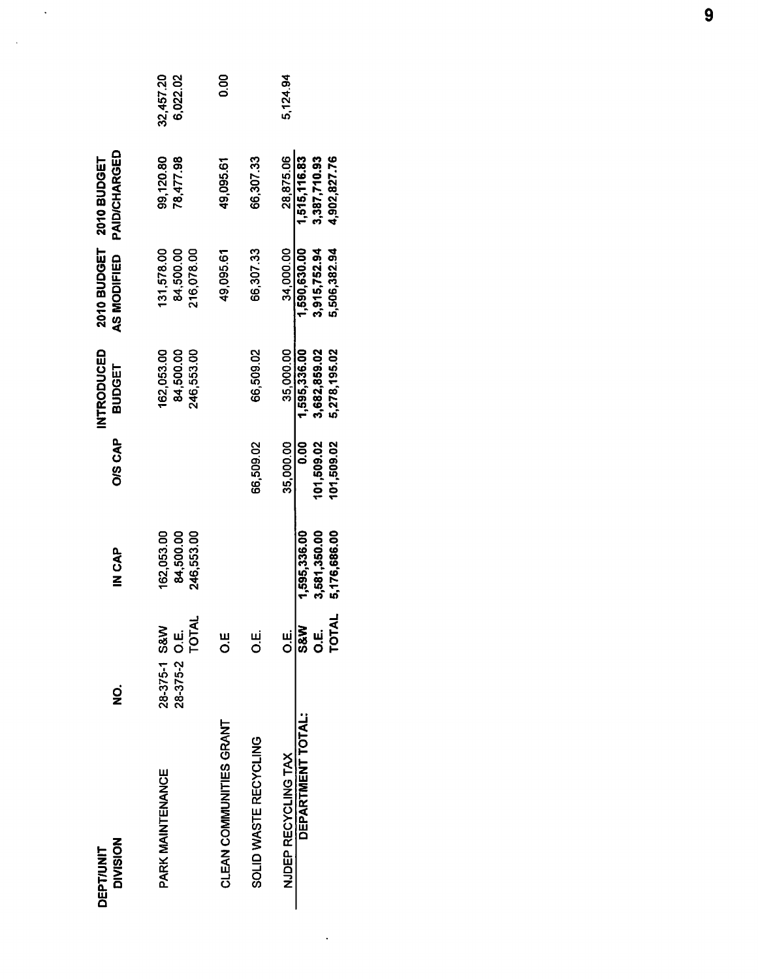| <b>DIVISION</b><br><b>DEPT/UNIT</b> | g                                                   | d<br>N<br>C<br>N<br>N                        | O/S CAP                                 | <b>INTRODUCED</b><br>BUDGET                  | 2010 BUDGET<br><b>AS MODIFIED</b>            | <b>PAID/CHARGED</b><br><b>2010 BUDGET</b>    |                       |
|-------------------------------------|-----------------------------------------------------|----------------------------------------------|-----------------------------------------|----------------------------------------------|----------------------------------------------|----------------------------------------------|-----------------------|
| PARK MAINTENANCE                    | <b>TOTAL</b><br>28-375-1 S&W<br>ui<br>O<br>28-375-2 | 162,053.00<br>84,500.00<br>246,553.00        |                                         | 84,500.00<br>162.053.00<br>246,553.00        | 84,500.00<br>131,578.00<br>216,078.00        | 99,120.80<br>78,477.98                       | 32,457.20<br>6,022.02 |
| CLEAN COMMUNITIES GRANT             | ш<br>О                                              |                                              |                                         |                                              | 49,095.61                                    | 49,095.61                                    | 8<br>00               |
| SOLID WASTE RECYCLING               | نبا<br>Ö                                            |                                              | 66,509.02                               | 66,509.02                                    | 66,307.33                                    | 66.307.33                                    |                       |
| NJDEP RECYCLING TAX                 | ші<br>О                                             |                                              | 35,000.00                               | 35,000.00                                    | 34,000.00                                    | 28,875.06                                    | 5.124.94              |
| DEPARTMENT TOTAL:                   | <b>S&amp;W</b><br>ui<br>O<br>TOT                    | 3,581,350.00<br>1,595,336.00<br>5,176,686.00 | 101,509.02<br><b>00.0</b><br>101,509.02 | 1,595,336.00<br>3,682,859.02<br>5,278,195.02 | 1,590,630.00<br>3,915,752.94<br>5,506,382.94 | 1,515,116.83<br>3,387,710.93<br>4,902,827.76 |                       |

 $\mathcal{L}^{\text{max}}_{\text{max}}$ 

 $\sim$ 

 $\hat{\boldsymbol{\beta}}$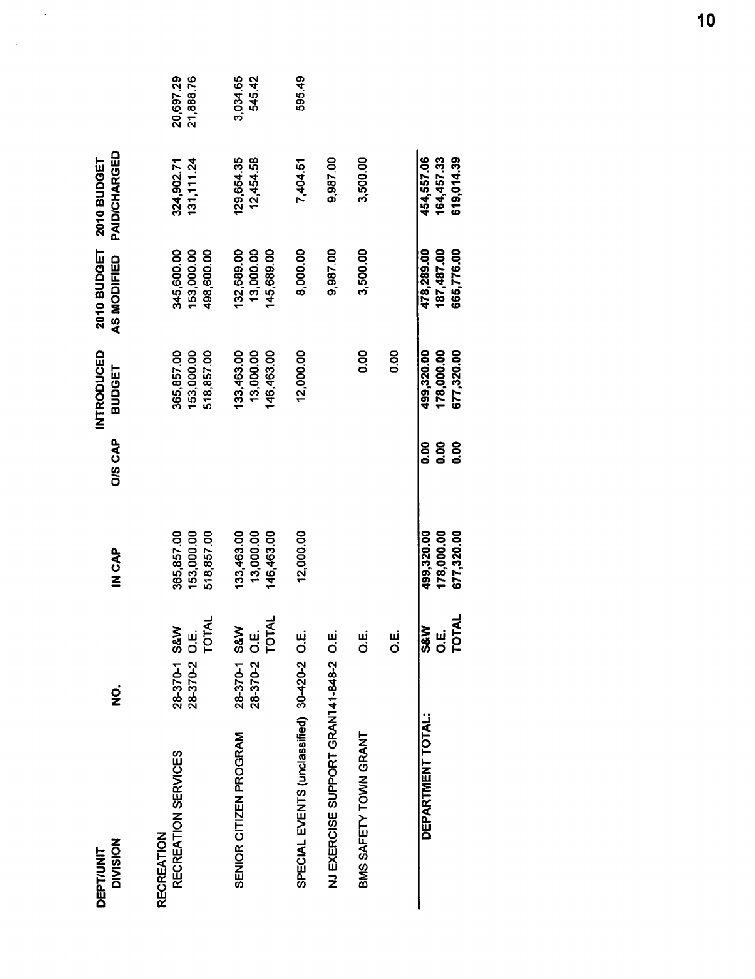| <b>DIVISION</b><br><b>DEPT/UNIT</b>         | gi                                                            | IN CAP                                 | <b>O/S CAP</b>                              | INTRODUCED<br><b>BUDGET</b>            | 2010 BUDGET<br>AS MODIFIED             | PAID/CHARGED<br>2010 BUDGET            |                        |
|---------------------------------------------|---------------------------------------------------------------|----------------------------------------|---------------------------------------------|----------------------------------------|----------------------------------------|----------------------------------------|------------------------|
| RECREATION SERVICES<br><b>RECREATION</b>    | <b>O.E.</b><br>TOTAL<br>28-370-1 S&W<br>28-370-2              | 365,857.00<br>153,000.00<br>518,857.00 |                                             | 153,000.00<br>365,857.00<br>518,857.00 | 345,600.00<br>153,000.00<br>498,600.00 | 131, 111.24<br>324,902.71              | 20,697.29<br>21,888.76 |
| SENIOR CITIZEN PROGRAM                      | O.E.<br>TOTAL<br><b>S&amp;W</b><br>$28 - 370 - 1$<br>28-370-2 | 133,463.00<br>13,000.00<br>146,463.00  |                                             | 33,463.00<br>13,000.00<br>146,463.00   | 132,689.00<br>13,000.00<br>145,689.00  | 129,654.35<br>12,454.58                | 3,034.65<br>545.42     |
| SPECIAL EVENTS (unclassified) 30-420-2 O.E. |                                                               | 12,000.00                              |                                             | 12,000.00                              | 8,000.00                               | 7,404.51                               | 595.49                 |
| NJ EXERCISE SUPPORT GRANT41-848-2 O.E.      |                                                               |                                        |                                             |                                        | 9,987.00                               | 9,987.00                               |                        |
| BMS SAFETY TOWN GRANT                       | ші<br>О                                                       |                                        |                                             | <b>0.00</b>                            | 3,500.00                               | 3,500.00                               |                        |
|                                             | ui<br>O                                                       |                                        |                                             | O.OO                                   |                                        |                                        |                        |
| DEPARTMENT TOTAL:                           | <b>S&amp;W</b><br>يا<br>Ö<br>TOT                              | 499,320.00<br>178,000.00<br>677,320.00 | <b>0.00</b><br><b>80.00</b><br><b>80.00</b> | 499,320.00<br>178,000.00<br>677,320.00 | 478,289.00<br>187,487.00<br>665,776.00 | 454,557.06<br>619,014.39<br>164,457.33 |                        |

 $\frac{1}{2}$ 

 $\sim$   $\sim$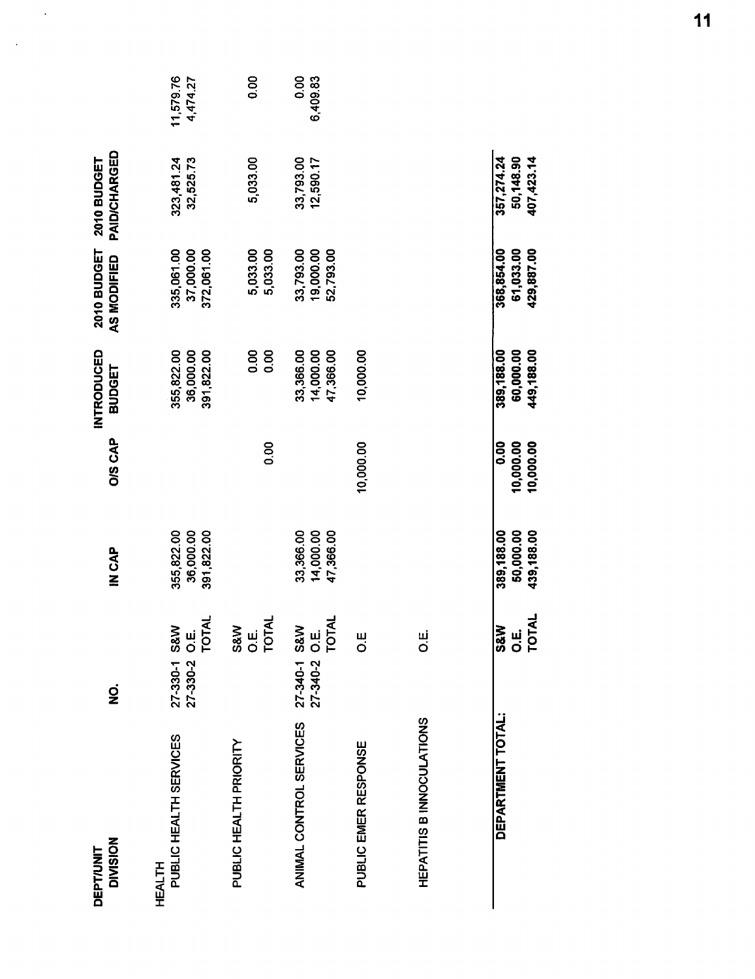| <b>DIVISION</b><br><b>DEPT/UNIT</b>     | g                                                     | IN CAP                                | <b>O/S CAP</b>                        | INTRODUCED<br>BUDGET                  | 2010 BUDGET<br>AS MODIFIED            | PAID/CHARGED<br>2010 BUDGET           |                       |
|-----------------------------------------|-------------------------------------------------------|---------------------------------------|---------------------------------------|---------------------------------------|---------------------------------------|---------------------------------------|-----------------------|
| PUBLIC HEALTH SERVICES<br><b>HEALTH</b> | <b>O.E.</b><br>TOTAL<br>27-330-1 S&W<br>27-330-2 O.E. | 355,822.00<br>36,000.00<br>391,822.00 |                                       | 355,822.00<br>36,000.00<br>391,822.00 | 335,061.00<br>37,000.00<br>372,061.00 | 323,481.24<br>32,525.73               | 11,579.76<br>4,474.27 |
| PUBLIC HEALTH PRIORITY                  | <b>O.E.</b><br>TOTAL<br>S&W                           |                                       | 0.00                                  | $\frac{8}{10}$<br>0.00                | 5,033.00<br>5,033.00                  | 5,033.00                              | 8.00                  |
| ANIMAL CONTROL SERVICES                 | 27-340-2 O.E.<br>TOTAL<br><b>S&amp;W</b><br>27-340-1  | 33,366.00<br>14,000.00<br>47,366.00   |                                       | 33,366.00<br>14,000.00<br>47,366.00   | 19,000.00<br>52,793.00<br>33,793.00   | 33,793.00<br>12,590.17                | 0.00<br>6,409.83      |
| PUBLIC EMER RESPONSE                    | $\frac{11}{10}$                                       |                                       | 10,000.00                             | 10,000.00                             |                                       |                                       |                       |
| HEPATITIS B INNOCULATIONS               | نیا<br>O                                              |                                       |                                       |                                       |                                       |                                       |                       |
| DEPARTMENT TOTAL:                       | <b>O.E.</b><br>TOTAL<br>S&W                           | 50,000.00<br>439,188.00<br>389,188.00 | 10,000.00<br>10,000.00<br><b>0.00</b> | 389,188.00<br>60,000.00<br>449,188.00 | 61,033.00<br>429,887.00<br>368,854.00 | 357,274.24<br>50,148.90<br>407,423.14 |                       |

 $\ddot{\phantom{0}}$ 

 $\ddot{\phantom{0}}$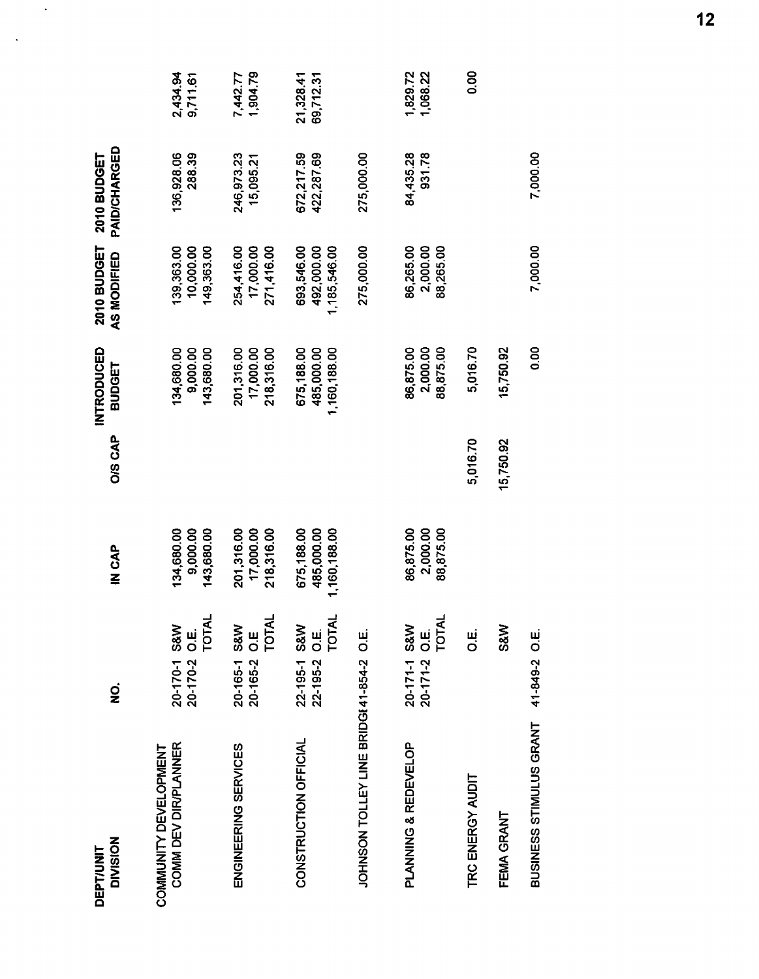| <b>NOISIVID</b><br><b>DEPT/UNIT</b>           | g                                                          | IN CAP                                   | O/S CAP   | INTRODUCED<br><b>BUDGET</b>              | 2010 BUDGET<br>AS MODIFIED               | PAID/CHARGED<br><b>2010 BUDGET</b> |                        |
|-----------------------------------------------|------------------------------------------------------------|------------------------------------------|-----------|------------------------------------------|------------------------------------------|------------------------------------|------------------------|
| COMM DEV DIR/PLANNER<br>COMMUNITY DEVELOPMENT | TOTAL<br>20-170-1 S&W<br>20-170-2 O.E.                     | 134,680.00<br>9,000.00<br>143,680.00     |           | 134,680.00<br>9,000.00<br>143,680.00     | 10,000.00<br>149,363.00<br>139,363.00    | 136,928.06<br>288.39               | 2,434.94<br>9,711.61   |
| ENGINEERING SERVICES                          | TOTAL<br><b>S&amp;W</b><br>20-165-2 O.E<br>$20 - 165 - 1$  | 201,316.00<br>17,000.00<br>218,316.00    |           | 201,316.00<br>17,000.00<br>218,316.00    | 17,000.00<br>254,416.00<br>271,416.00    | 246,973.23<br>15,095.21            | 1,904.79<br>7,442.77   |
| CONSTRUCTION OFFICIAL                         | 22-195-2 O.E.<br>TOTAL<br><b>S&amp;W</b><br>$22 - 195 - 1$ | 1,160,188.00<br>675,188.00<br>485,000.00 |           | 485,000.00<br>675,188.00<br>1,160,188.00 | 1,185,546.00<br>492,000.00<br>693,546.00 | 672,217.59<br>422,287.69           | 69,712.31<br>21,328.41 |
| JOHNSON TOLLEY LINE BRIDGI 41-854-2 O.E.      |                                                            |                                          |           |                                          | 275,000.00                               | 275,000.00                         |                        |
| PLANNING & REDEVELOP                          | TOTAL<br>20-171-1 S&W<br>20-171-2 O.E.                     | 86,875.00<br>2,000.00<br>88,875.00       |           | 86,875.00<br>2,000.00<br>88,875.00       | 86,265.00<br>2,000.00<br>88,265.00       | 84,435.28<br>931.78                | 1,829.72<br>1,068.22   |
| TRC ENERGY AUDIT                              | щі<br>О                                                    |                                          | 5,016.70  | 5,016.70                                 |                                          |                                    | 0.00                   |
| FEMA GRANT                                    | <b>S&amp;W</b>                                             |                                          | 15,750.92 | 15,750.92                                |                                          |                                    |                        |
| BUSINESS STIMULUS GRANT                       | 41-849-2 O.E.                                              |                                          |           | 0.00                                     | 7,000.00                                 | 7,000.00                           |                        |

 $\langle \cdot \rangle$ 

 $\langle \cdot \rangle$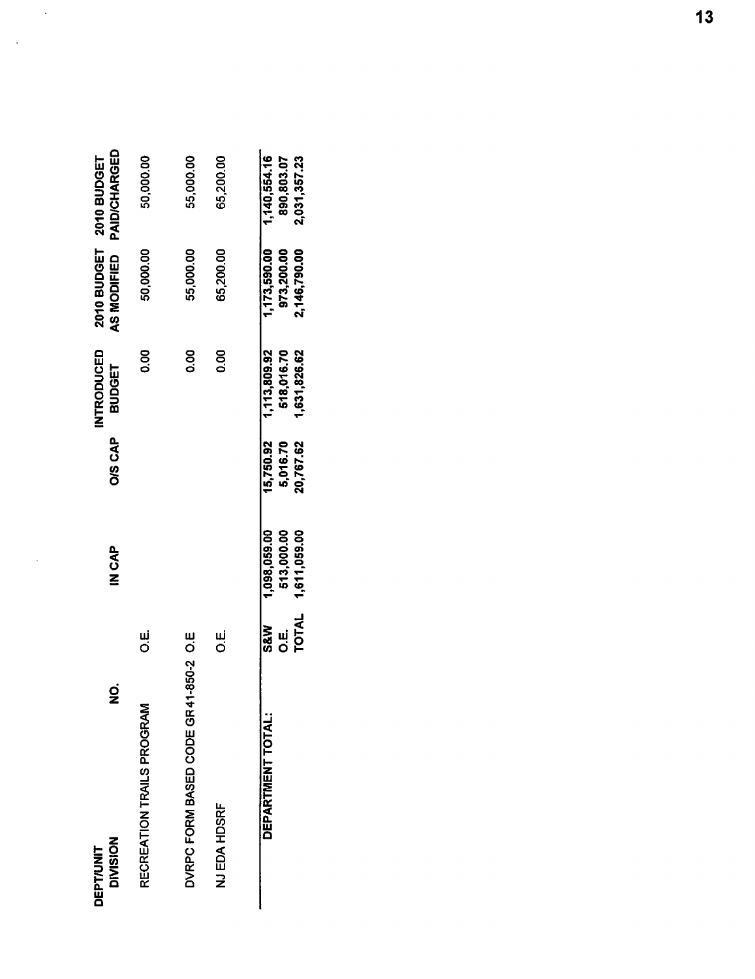| <b>DIVISION</b><br><b>DEPT/UNIT</b>  | $\mathbf{\mathbf{2}}$         | IN CAP                                     | <b>O/S CAP</b>                     | INTRODUCED<br>BUDGET                       | AS MODIFIED                                | PAID/CHARGED<br>2010 BUDGET 2010 BUDGET    |
|--------------------------------------|-------------------------------|--------------------------------------------|------------------------------------|--------------------------------------------|--------------------------------------------|--------------------------------------------|
| RECREATION TRAILS PROGRAM            | ші<br>О                       |                                            |                                    | 0.00                                       | 50,000.00                                  | 50,000.00                                  |
| DVRPC FORM BASED CODE GR41-850-2 O.E |                               |                                            |                                    | 800                                        | 55,000.00                                  | 55,000.00                                  |
| NJ EDA HDSRF                         | ن<br>Ö                        |                                            |                                    | 0.00                                       | 65,200.00                                  | 65,200.00                                  |
| DEPARTMENT TOTAL:                    | TOTAL<br><b>Saw</b><br>щ<br>О | 1,098,059.00<br>513,000.00<br>1,611,059.00 | 15,750.92<br>5,016.70<br>20,767.62 | 1,113,809.92<br>518,016.70<br>1,631,826.62 | 1,173,590.00<br>973,200.00<br>2,146,790.00 | 1,140,554.16<br>2,031,357.23<br>890,803.07 |

 $\mathcal{A}^{\mathcal{A}}$ 

 $\ddot{\phantom{0}}$ 

 $\sim$   $\lambda$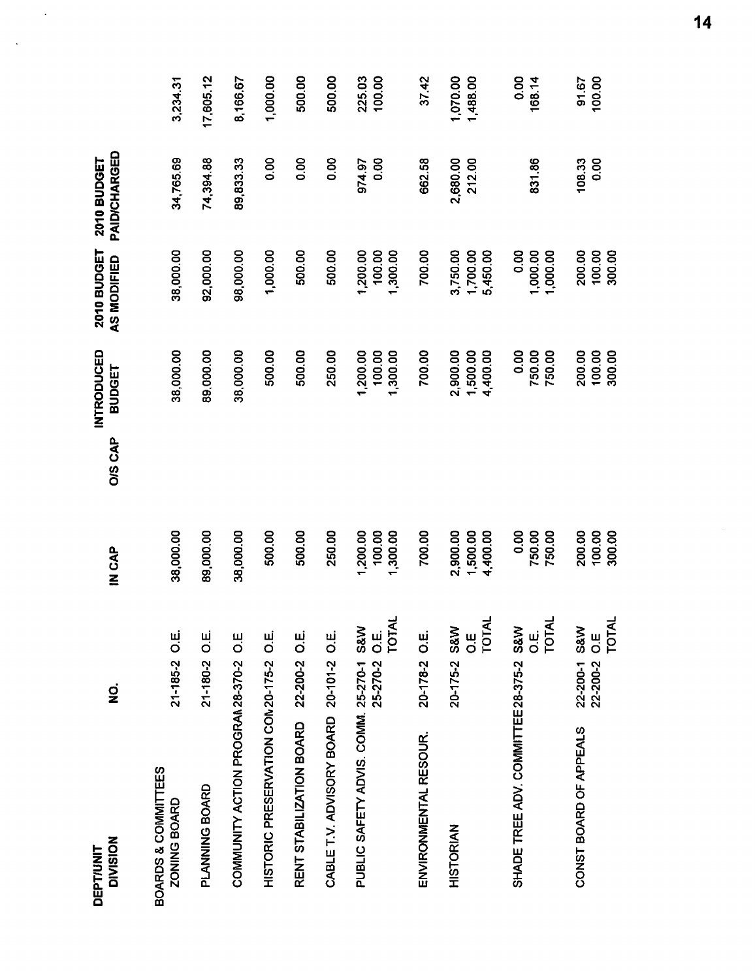| <b>DIVISION</b><br><b>DEPT/UNIT</b>     | $\dot{\mathbf{z}}$                           | IN CAP                           | <b>O/S CAP</b> | <b>INTRODUCED</b><br>BUDGET      | 2010 BUDGET<br>AS MODIFIED       | PAID/CHARGED<br>2010 BUDGET |                      |
|-----------------------------------------|----------------------------------------------|----------------------------------|----------------|----------------------------------|----------------------------------|-----------------------------|----------------------|
| BOARDS & COMMITTEES<br>ZONING BOARD     | 21-185-2 O.E.                                | 38,000.00                        |                | 38,000.00                        | 38,000.00                        | 34,765.69                   | 3,234.31             |
| PLANNING BOARD                          | 21-180-2 O.E.                                | 89,000.00                        |                | 89,000.00                        | 92,000.00                        | 74,394.88                   | 17,605.12            |
| COMMUNITY ACTION PROGRAM 28-370-2 O.E   |                                              | 38,000.00                        |                | 38,000.00                        | 98,000.00                        | 89,833.33                   | 8,166.67             |
| HISTORIC PRESERVATION CON20-175-2 O.E.  |                                              | 500.00                           |                | 500.00                           | 1,000.00                         | 0.00                        | 1,000.00             |
| RENT STABILIZATION BOARD                | 22-200-2 O.E.                                | 500.00                           |                | 500.00                           | 500.00                           | 0.00                        | 500.00               |
| CABLE T.V. ADVISORY BOARD 20-101-2 O.E. |                                              | 250.00                           |                | 250.00                           | 500.00                           | 0.00                        | 500.00               |
| PUBLIC SAFETY ADVIS. COMM. 25-270-1 S&W | <b>TOTAL</b><br>25-270-2 O.E.                | 1,200.00<br>100.00<br>1,300.00   |                | 1,200.00<br>1,300.00<br>100.00   | 1,200.00<br>100.00<br>1,300.00   | 0.00<br>974.97              | 225.03<br>100.00     |
| ENVIRONMENTAL RESOUR.                   | 20-178-2 O.E.                                | 700.00                           |                | 700.00                           | 700.00                           | 662.58                      | 37.42                |
| <b>HISTORIAN</b>                        | TOTAL<br>20-175-2 S&W<br>ui<br>O             | 2,900.00<br>1,500.00<br>4,400.00 |                | 2,900.00<br>4,400.00<br>1,500.00 | 3,750.00<br>1,700.00<br>5,450.00 | 2,680.00<br>212.00          | 1,070.00<br>1,488.00 |
| SHADE TREE ADV. COMMITTEE 28-375-2 S&W  | <b>TOTAL</b><br>$\mathbf{u}$<br>O            | 0.00<br>750.00<br>750.00         |                | 0.00<br>750.00<br>750,00         | 0.00<br>1,000.00<br>1,000.00     | 831.86                      | 0.00<br>168.14       |
| CONST BOARD OF APPEALS                  | <b>TOTAL</b><br>22-200-1 S&W<br>22-200-2 O.E | 200.00<br>100.00<br>300.00       |                | 200.00<br>100.00<br>300.00       | 200.00<br>100.00<br>300.00       | 108.33<br>0.00              | 100.00<br>91.67      |

 $\hat{\mathcal{A}}$ 

 $\sim$  .

 $14$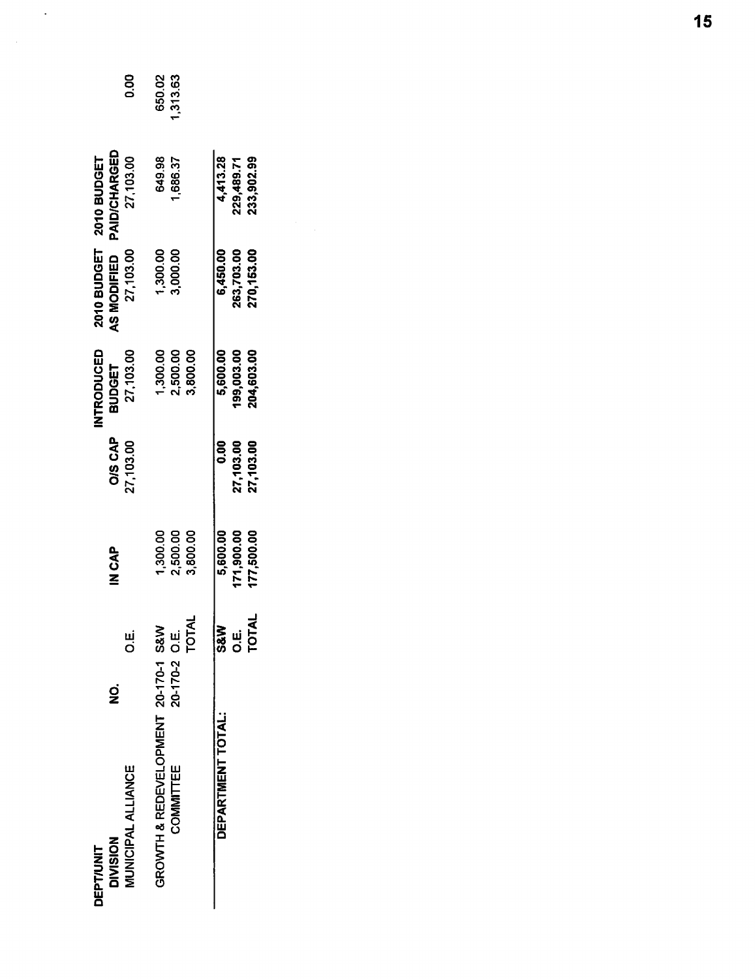|                                     |                      |            |                | INTRODUCED    |             | 2010 BUDGET 2010 BUDGET |           |
|-------------------------------------|----------------------|------------|----------------|---------------|-------------|-------------------------|-----------|
| g<br><b>DIVISION</b>                |                      | IN CAP     | <b>O/S CAP</b> | <b>BUDGET</b> | AS MODIFIED | <b>PAID/CHARGED</b>     |           |
| <b>MUNICIPAL ALLIANCE</b>           | щ<br>О               |            | 27,103.00      | 27,103.00     | 27,103.00   | 27 103.00               | 80<br>0.0 |
| GROWTH & REDEVELOPMENT 20-170-1 S&W |                      | 1,300.00   |                | 1,300.00      | 1,300.00    | 649.98                  | 650.02    |
| COMMITTEE                           |                      | 2,500.00   |                | 2,500.00      | 3,000.00    | 1,686.37                | 1,313.63  |
| 20-170-2 O.E.<br>TOTAL              |                      | 3,800.00   |                | 3,800.00      |             |                         |           |
| DEPARTMENT TOTAL:                   | <b>ANSS</b>          | 5,600.00   | 8<br>O.O       | 5,600.00      | 6,450.00    | 4,413.28                |           |
|                                     | <b>O.E.</b><br>TOTAL | 171,900.00 | 27,103.00      | 199,003.00    | 263,703.00  | 229,489.71              |           |
|                                     |                      | 177,500.00 | 27,103.00      | 204,603.00    | 270,153.00  | 233,902.99              |           |

 $\sim 10^7$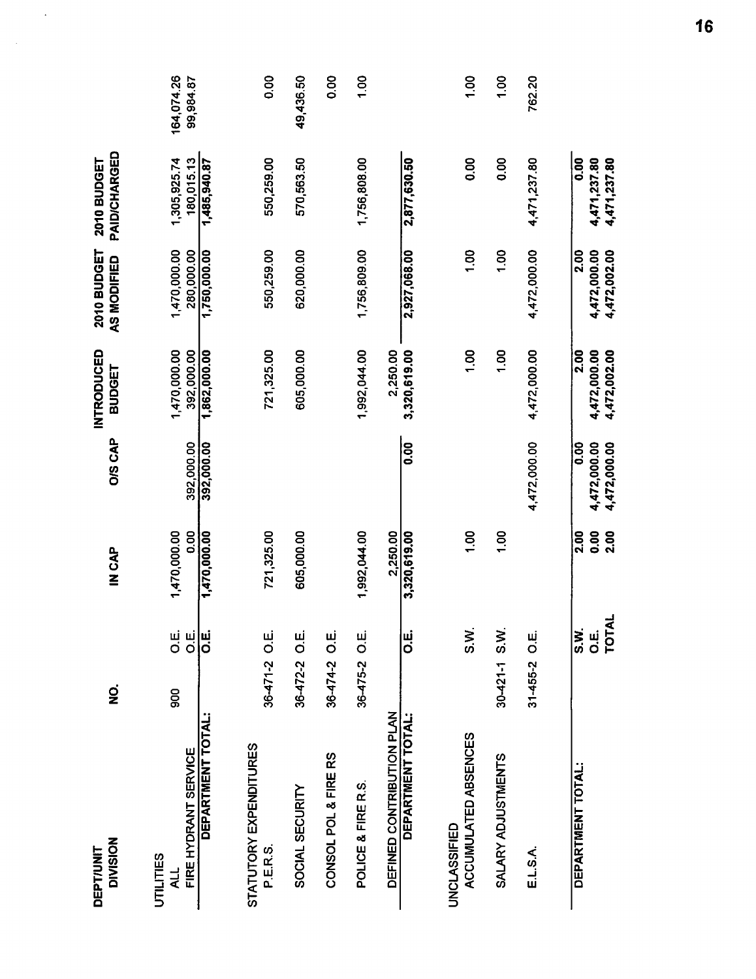| <b>DIVISION</b><br>DEPT/UNIT                    | $\dot{\mathbf{z}}$                        | IN CAP               | <b>O/S CAP</b>                                    | <b>INTRODUCED</b><br><b>BUDGET</b>   | 2010 BUDGET<br>AS MODIFIED           | PAID/CHARGED<br>2010 BUDGET          |                         |
|-------------------------------------------------|-------------------------------------------|----------------------|---------------------------------------------------|--------------------------------------|--------------------------------------|--------------------------------------|-------------------------|
| FIRE HYDRANT SERVICE<br><b>UTILITIES</b><br>4LL | щ<br>О<br>ші<br>О<br>900                  | 1,470,000.00<br>0.00 | 392.000.00                                        | 1,470,000.00<br>392,000.00           | 1,470,000.00<br>280,000.00           | 1,305,925.74<br>180,015.13           | 164,074.26<br>99,984.87 |
| DEPARTMENT TOTAL:                               | IU.<br>IO                                 | 1,470,000.00         | 392,000.00                                        | 1,862,000.00                         | 1,750,000.00                         | 1,485,940.87                         |                         |
| STATUTORY EXPENDITURES<br>P.E.R.S.              | 36-471-2 O.E.                             | 721,325.00           |                                                   | 721,325.00                           | 550,259.00                           | 550,259.00                           | 0.00                    |
| SOCIAL SECURITY                                 | 36-472-2 O.E.                             | 605,000.00           |                                                   | 605,000.00                           | 620,000.00                           | 570,563.50                           | 49,436.50               |
| CONSOL POL & FIRE RS                            | 36-474-2 O.E.                             |                      |                                                   |                                      |                                      |                                      | 0.00                    |
| POLICE & FIRE R.S.                              | 36-475-2 O.E.                             | 1,992,044.00         |                                                   | 1,992,044.00                         | 1,756,809.00                         | 1,756,808.00                         | 1,00                    |
| DEFINED CONTRIBUTION PLAN                       |                                           | 2,250.00             |                                                   | 2,250.00                             |                                      |                                      |                         |
| DEPARTMENT TOTAL:                               | ші<br>О                                   | 3,320,619.00         | <b>0.00</b>                                       | 3,320,619.00                         | 2,927,068.00                         | 2,877,630.50                         |                         |
| ACCUMULATED ABSENCES<br>UNCLASSIFIED            | S.M.                                      | $\frac{8}{1}$        |                                                   | $\frac{5}{2}$                        | $\frac{8}{1}$                        | 80                                   | 1.00                    |
| SALARY ADJUSTMENTS                              | 30-421-1 S.W.                             | $\frac{8}{1}$        |                                                   | $\overline{00}$                      | 00.1                                 | 0.00                                 | 1.00                    |
| ELSA                                            | 31-455-2 O.E.                             |                      | 4,472,000.00                                      | 4,472,000.00                         | 4,472,000.00                         | 4,471,237.80                         | 762.20                  |
| DEPARTMENT TOTAL:                               | O.E.<br>TOTAL<br>$\overline{\text{S.W.}}$ | 2.00<br>O.OO<br>2.00 | 4,472,000.00<br>4,472,000.00<br>$\overline{0.00}$ | 4,472,000.00<br>4,472,002.00<br>2.00 | 4,472,000.00<br>4,472,002.00<br>2.00 | 0.00<br>4,471,237.80<br>4,471,237.80 |                         |

 $\ddot{\phantom{1}}$ 

 $\sim$ 

16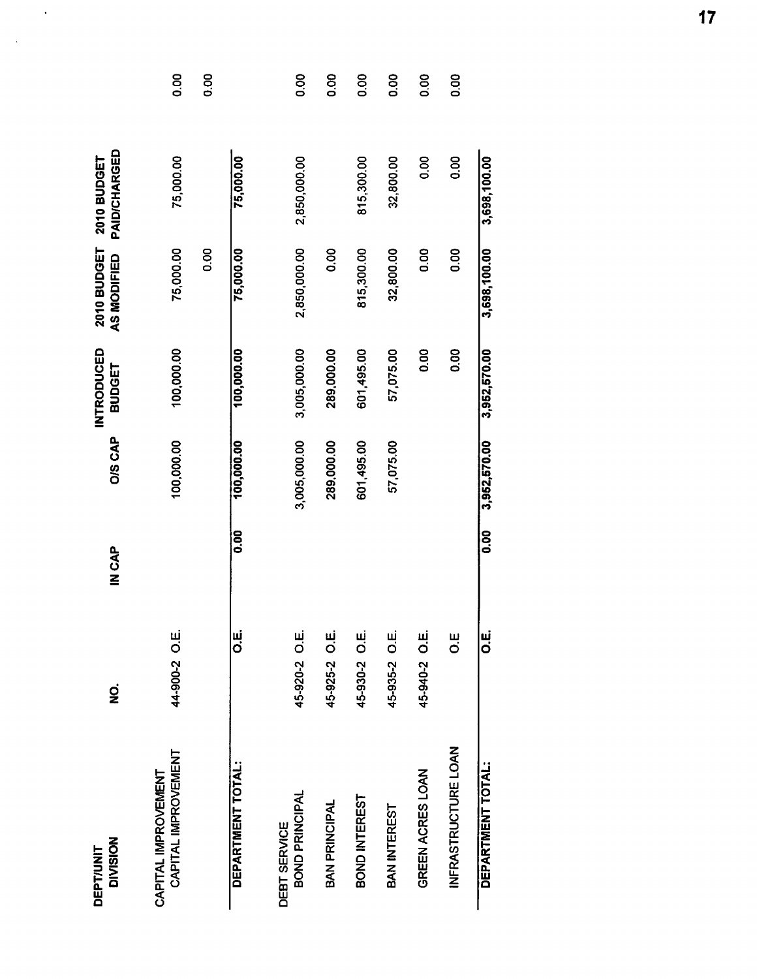| <b>DIVISION</b><br><b>DEPT/UNIT</b>        | g             | IN CAP | <b>OIS CAP</b> | INTRODUCED<br><b>BUDGET</b> | <b>2010 BUDGET</b><br>AS MODIFIED | PAID/CHARGED<br>2010 BUDGET |              |
|--------------------------------------------|---------------|--------|----------------|-----------------------------|-----------------------------------|-----------------------------|--------------|
| CAPITAL IMPROVEMENT<br>CAPITAL IMPROVEMENT | 44-900-2 O.E. |        | 100,000.00     | 100,000.00                  | 75,000.00                         | 75,000.00                   | 0.00         |
|                                            |               |        |                |                             | 0.00                              |                             | O.OO         |
| DEPARTMENT TOTAL:                          | ші<br>О       | 0.00   | 100,000.00     | 100,000.00                  | 75,000.00                         | 75,000.00                   |              |
| BOND PRINCIPAL<br><b>DEBT SERVICE</b>      | 45-920-2 O.E. |        | 3,005,000.00   | 3,005,000.00                | 2,850,000.00                      | 2,850,000.00                | 0.00         |
| <b>BAN PRINCIPAL</b>                       | 45-925-2 O.E. |        | 289,000.00     | 289,000.00                  | 0.00                              |                             | 80.0         |
| BOND INTEREST                              | 45-930-2 O.E. |        | 601,495.00     | 601,495.00                  | 815,300.00                        | 815,300.00                  | 0.00         |
| <b>BAN INTEREST</b>                        | 45-935-2 O.E. |        | 57,075.00      | 57,075.00                   | 32,800.00                         | 32,800.00                   | <b>80.00</b> |
| GREEN ACRES LOAN                           | 45-940-2 O.E. |        |                | 0.00                        | 0.00                              | 0.00                        | 0.00         |
| INFRASTRUCTURE LOAN                        | Ш.<br>О       |        |                | 0.00                        | 0.00                              | 0.00                        | 0.00         |
| DEPARTMENT TOTAL:                          | U.<br>O.      | 0.00   | 3,952,570.00   | 3,952,570.00                | 3,698,100.00                      | 3,698,100.00                |              |
|                                            |               |        |                |                             |                                   |                             |              |

 $\mathcal{L}^{\text{max}}_{\text{max}}$ 

 $\sim$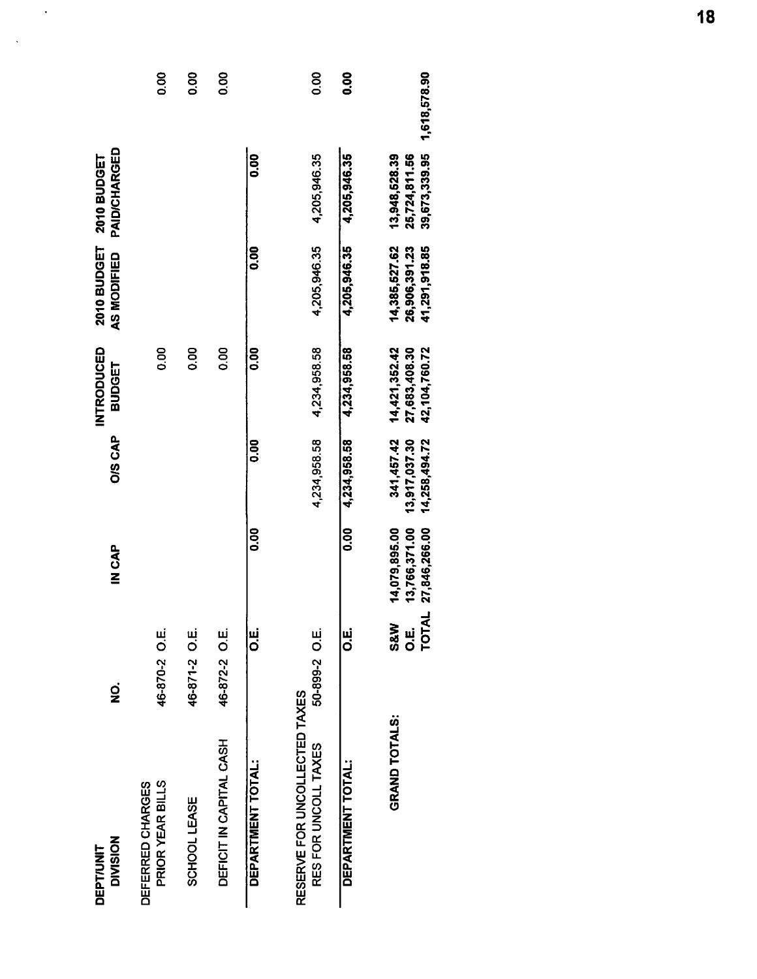| <b>DIVISION</b><br><b>DEPT/UNIT</b>                   | oj<br>Z                                  | IN CAP                                          | <b>O/S CAP</b>                               | INTRODUCED<br><b>BUDGET</b>                     | <b>2010 BUDGET</b><br>AS MODIFIED               | <b>PAID/CHARGED</b><br>2010 BUDGET              |              |
|-------------------------------------------------------|------------------------------------------|-------------------------------------------------|----------------------------------------------|-------------------------------------------------|-------------------------------------------------|-------------------------------------------------|--------------|
| PRIOR YEAR BILLS<br>DEFERRED CHARGES                  | 46-870-2 O.E.                            |                                                 |                                              | 8<br>OO                                         |                                                 |                                                 | 0.00         |
| SCHOOL LEASE                                          | 46-871-2 O.E.                            |                                                 |                                              | 0.00                                            |                                                 |                                                 | 0.00         |
| DEFICIT IN CAPITAL CASH                               | 46-872-2 O.E.                            |                                                 |                                              | 00.0                                            |                                                 |                                                 | 0.00         |
| DEPARTMENT TOTAL:                                     | ui<br>O                                  | <b>0.00</b>                                     | <b>00.00</b>                                 | <b>0.00</b>                                     | oo<br>O                                         | <b>0.00</b>                                     |              |
| RESERVE FOR UNCOLLECTED TAXES<br>RES FOR UNCOLL TAXES | 50-899-2 O.E.                            |                                                 | 4,234,958.58                                 | 4,234,958.58                                    | 4,205,946.35                                    | 4,205,946.35                                    | 0.00         |
| DEPARTMENT TOTAL:                                     | ui<br>O                                  | 80<br>0.0                                       | 4,234,958.58                                 | 4,234,958.58                                    | 4,205,946.35                                    | 4,205,946.35                                    | 0.00         |
| <b>GRAND TOTALS:</b>                                  | <b>TOTAL</b><br><b>S&amp;W</b><br>ม<br>O | 14,079,895.00<br>13,766,371.00<br>27,846,266.00 | 341,457.42<br>13,917,037.30<br>14,258,494.72 | 14,421,352.42<br>27,683,408.30<br>42,104,760.72 | 14,385,527.62<br>41,291,918.85<br>26,906,391.23 | 39,673,339.95<br>13,948,528.39<br>25,724,811.56 | 1,618,578.90 |

 $\hat{\boldsymbol{\cdot}$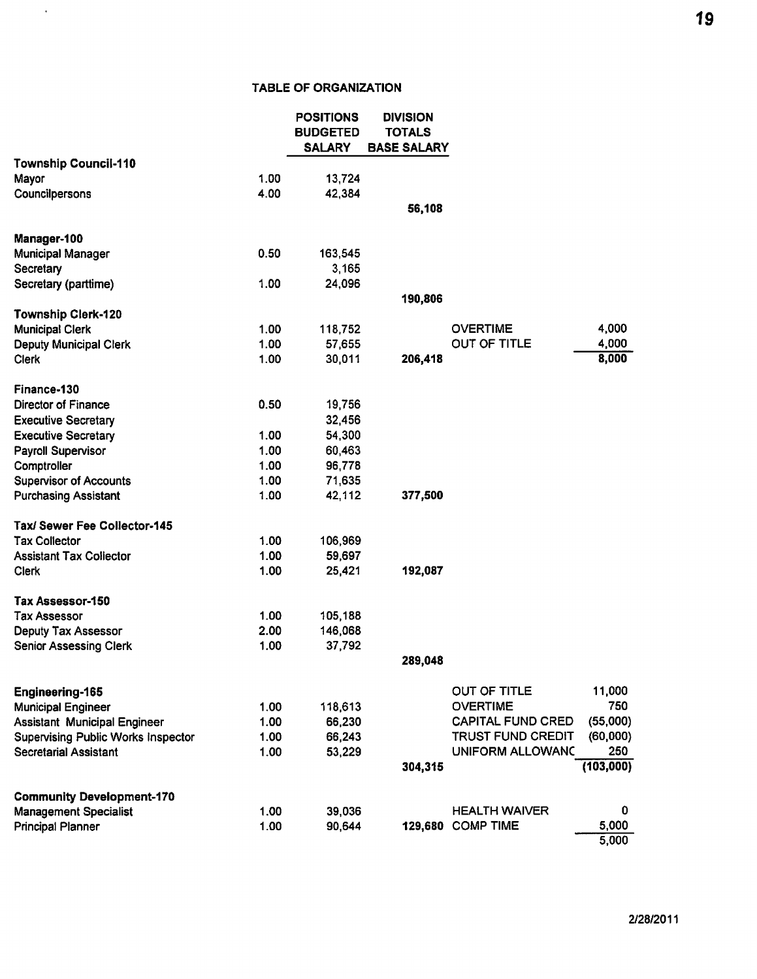## **TABLE OF ORGANIZATION**

 $\hat{\mathcal{L}}$ 

|                                                                                  |              | <b>POSITIONS</b><br><b>BUDGETED</b><br><b>SALARY</b> | <b>DIVISION</b><br><b>TOTALS</b><br><b>BASE SALARY</b> |                                 |                |
|----------------------------------------------------------------------------------|--------------|------------------------------------------------------|--------------------------------------------------------|---------------------------------|----------------|
| <b>Township Council-110</b>                                                      |              |                                                      |                                                        |                                 |                |
| Mayor                                                                            | 1.00         | 13,724                                               |                                                        |                                 |                |
| Councilpersons                                                                   | 4.00         | 42,384                                               | 56,108                                                 |                                 |                |
| Manager-100                                                                      |              |                                                      |                                                        |                                 |                |
| <b>Municipal Manager</b>                                                         | 0.50         | 163,545                                              |                                                        |                                 |                |
| Secretary                                                                        |              | 3,165                                                |                                                        |                                 |                |
| Secretary (parttime)                                                             | 1.00         | 24,096                                               |                                                        |                                 |                |
| <b>Township Clerk-120</b>                                                        |              |                                                      | 190,806                                                |                                 |                |
| <b>Municipal Clerk</b>                                                           | 1.00         | 118,752                                              |                                                        | <b>OVERTIME</b>                 | 4,000          |
| <b>Deputy Municipal Clerk</b>                                                    | 1.00         | 57,655                                               |                                                        | OUT OF TITLE                    | 4,000          |
| <b>Clerk</b>                                                                     | 1.00         | 30,011                                               | 206,418                                                |                                 | 8,000          |
| Finance-130                                                                      |              |                                                      |                                                        |                                 |                |
| Director of Finance                                                              | 0.50         | 19,756                                               |                                                        |                                 |                |
| <b>Executive Secretary</b>                                                       |              | 32,456                                               |                                                        |                                 |                |
| <b>Executive Secretary</b>                                                       | 1.00         | 54,300                                               |                                                        |                                 |                |
| Payroll Supervisor                                                               | 1.00         | 60,463                                               |                                                        |                                 |                |
| Comptroller                                                                      | 1.00         | 96,778                                               |                                                        |                                 |                |
| <b>Supervisor of Accounts</b>                                                    | 1.00         | 71,635                                               |                                                        |                                 |                |
| <b>Purchasing Assistant</b>                                                      | 1.00         | 42,112                                               | 377,500                                                |                                 |                |
| Tax/ Sewer Fee Collector-145                                                     |              |                                                      |                                                        |                                 |                |
| <b>Tax Collector</b>                                                             | 1.00         | 106,969                                              |                                                        |                                 |                |
| <b>Assistant Tax Collector</b>                                                   | 1.00         | 59,697                                               |                                                        |                                 |                |
| <b>Clerk</b>                                                                     | 1.00         | 25,421                                               | 192,087                                                |                                 |                |
| Tax Assessor-150                                                                 |              |                                                      |                                                        |                                 |                |
| <b>Tax Assessor</b>                                                              | 1.00         | 105,188                                              |                                                        |                                 |                |
| Deputy Tax Assessor                                                              | 2.00         | 146,068                                              |                                                        |                                 |                |
| <b>Senior Assessing Clerk</b>                                                    | 1.00         | 37,792                                               | 289,048                                                |                                 |                |
|                                                                                  |              |                                                      |                                                        |                                 |                |
| Engineering-165                                                                  |              |                                                      |                                                        | OUT OF TITLE<br><b>OVERTIME</b> | 11,000<br>750  |
| Municipal Engineer                                                               | 1.00<br>1.00 | 118,613                                              |                                                        | <b>CAPITAL FUND CRED</b>        | (55,000)       |
| <b>Assistant Municipal Engineer</b><br><b>Supervising Public Works Inspector</b> | 1.00         | 66,230<br>66,243                                     |                                                        | <b>TRUST FUND CREDIT</b>        | (60,000)       |
| <b>Secretarial Assistant</b>                                                     | 1.00         | 53,229                                               |                                                        | UNIFORM ALLOWANC                | 250            |
|                                                                                  |              |                                                      | 304,315                                                |                                 | (103,000)      |
| <b>Community Development-170</b>                                                 |              |                                                      |                                                        |                                 |                |
| <b>Management Specialist</b>                                                     | 1.00         | 39,036                                               |                                                        | <b>HEALTH WAIVER</b>            | 0              |
| <b>Principal Planner</b>                                                         | 1.00         | 90,644                                               |                                                        | 129,680 COMP TIME               | 5,000<br>5,000 |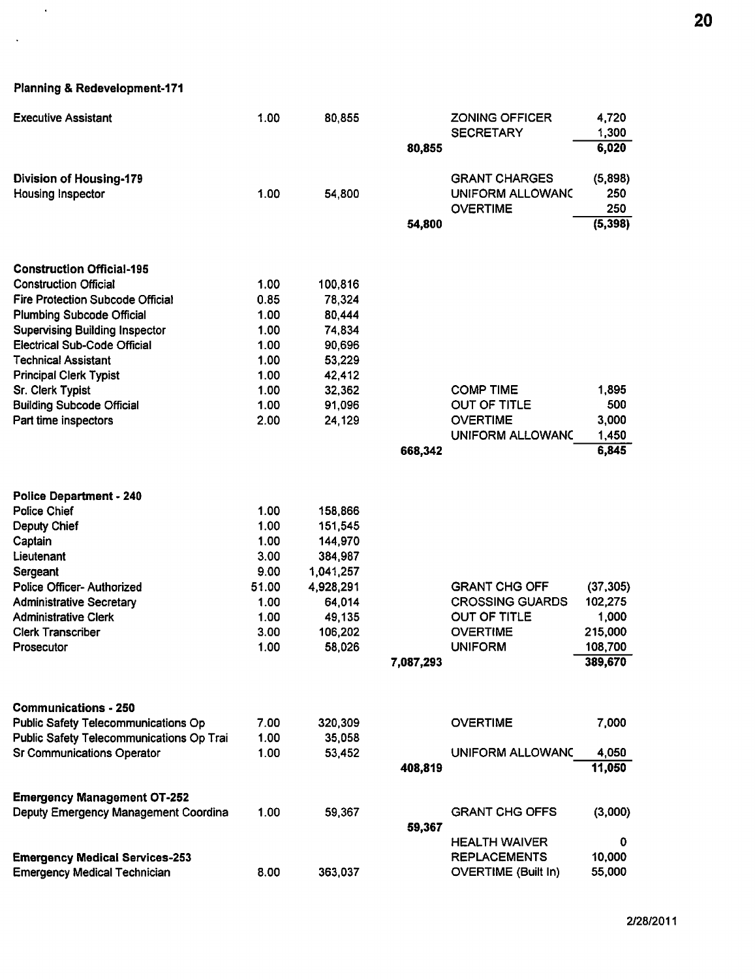Planning & Redevelopment-171

 $\sim$   $\epsilon$ 

 $\ddot{\phantom{a}}$ 

| <b>Executive Assistant</b>                 | 1.00  | 80,855    |           | <b>ZONING OFFICER</b><br><b>SECRETARY</b> | 4,720<br>1,300 |
|--------------------------------------------|-------|-----------|-----------|-------------------------------------------|----------------|
|                                            |       |           | 80,855    |                                           | 6,020          |
| <b>Division of Housing-179</b>             |       |           |           | <b>GRANT CHARGES</b>                      | (5,898)        |
| Housing Inspector                          | 1.00  | 54,800    |           | UNIFORM ALLOWANC                          | 250            |
|                                            |       |           |           | <b>OVERTIME</b>                           | 250            |
|                                            |       |           | 54,800    |                                           | (5, 398)       |
| <b>Construction Official-195</b>           |       |           |           |                                           |                |
| <b>Construction Official</b>               | 1.00  | 100,816   |           |                                           |                |
| <b>Fire Protection Subcode Official</b>    | 0.85  | 78,324    |           |                                           |                |
| <b>Plumbing Subcode Official</b>           | 1.00  | 80,444    |           |                                           |                |
| <b>Supervising Building Inspector</b>      | 1.00  | 74,834    |           |                                           |                |
| Electrical Sub-Code Official               | 1.00  | 90,696    |           |                                           |                |
| <b>Technical Assistant</b>                 | 1.00  | 53,229    |           |                                           |                |
| <b>Principal Clerk Typist</b>              | 1.00  | 42,412    |           |                                           |                |
| Sr. Clerk Typist                           | 1.00  | 32,362    |           | <b>COMP TIME</b>                          | 1,895          |
| <b>Building Subcode Official</b>           | 1.00  | 91,096    |           | OUT OF TITLE                              | 500            |
| Part time inspectors                       | 2.00  | 24,129    |           | <b>OVERTIME</b>                           | 3,000          |
|                                            |       |           |           | UNIFORM ALLOWANC                          | 1,450          |
|                                            |       |           | 668,342   |                                           | 6,845          |
| <b>Police Department - 240</b>             |       |           |           |                                           |                |
| <b>Police Chief</b>                        | 1.00  | 158,866   |           |                                           |                |
| Deputy Chief                               | 1.00  | 151,545   |           |                                           |                |
| Captain                                    | 1.00  | 144,970   |           |                                           |                |
| Lieutenant                                 | 3.00  | 384,987   |           |                                           |                |
| Sergeant                                   | 9.00  | 1,041,257 |           |                                           |                |
| Police Officer- Authorized                 | 51.00 | 4,928,291 |           | <b>GRANT CHG OFF</b>                      | (37, 305)      |
| <b>Administrative Secretary</b>            | 1.00  | 64,014    |           | <b>CROSSING GUARDS</b>                    | 102,275        |
| <b>Administrative Clerk</b>                | 1.00  | 49,135    |           | OUT OF TITLE                              | 1,000          |
| <b>Clerk Transcriber</b>                   | 3.00  | 106,202   |           | <b>OVERTIME</b>                           | 215,000        |
| Prosecutor                                 | 1.00  | 58,026    |           | <b>UNIFORM</b>                            | 108,700        |
|                                            |       |           | 7,087,293 |                                           | 389,670        |
| <b>Communications - 250</b>                |       |           |           |                                           |                |
| <b>Public Safety Telecommunications Op</b> | 7.00  | 320,309   |           | <b>OVERTIME</b>                           | 7,000          |
| Public Safety Telecommunications Op Trai   | 1.00  | 35,058    |           |                                           |                |
| <b>Sr Communications Operator</b>          | 1.00  | 53,452    |           | UNIFORM ALLOWANC                          | 4,050          |
|                                            |       |           | 408,819   |                                           | 11,050         |
| <b>Emergency Management OT-252</b>         |       |           |           |                                           |                |
| Deputy Emergency Management Coordina       | 1.00  | 59,367    |           | <b>GRANT CHG OFFS</b>                     | (3,000)        |
|                                            |       |           | 59,367    |                                           |                |
|                                            |       |           |           | <b>HEALTH WAIVER</b>                      | 0              |
| <b>Emergency Medical Services-253</b>      |       |           |           | <b>REPLACEMENTS</b>                       | 10,000         |
| <b>Emergency Medical Technician</b>        | 8.00  | 363,037   |           | <b>OVERTIME (Built In)</b>                | 55,000         |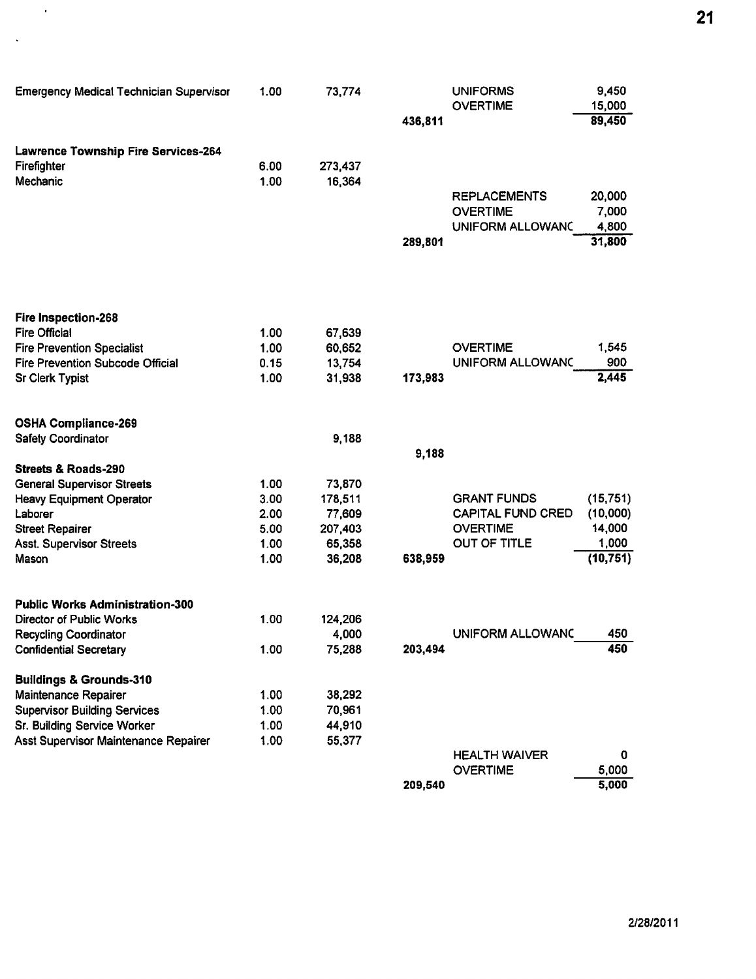| <b>Emergency Medical Technician Supervisor</b> | 1.00 | 73,774  |         | <b>UNIFORMS</b>          | 9,450     |
|------------------------------------------------|------|---------|---------|--------------------------|-----------|
|                                                |      |         |         | <b>OVERTIME</b>          | 15,000    |
|                                                |      |         | 436,811 |                          | 89,450    |
| Lawrence Township Fire Services-264            |      |         |         |                          |           |
| Firefighter                                    | 6.00 | 273,437 |         |                          |           |
| Mechanic                                       | 1.00 | 16,364  |         |                          |           |
|                                                |      |         |         | <b>REPLACEMENTS</b>      | 20,000    |
|                                                |      |         |         | <b>OVERTIME</b>          | 7,000     |
|                                                |      |         |         | UNIFORM ALLOWANC         | 4,800     |
|                                                |      |         | 289,801 |                          | 31,800    |
|                                                |      |         |         |                          |           |
| Fire Inspection-268                            |      |         |         |                          |           |
| <b>Fire Official</b>                           | 1.00 | 67,639  |         |                          |           |
| <b>Fire Prevention Specialist</b>              | 1.00 | 60,652  |         | <b>OVERTIME</b>          | 1,545     |
| <b>Fire Prevention Subcode Official</b>        | 0.15 | 13,754  |         | UNIFORM ALLOWANC         | 900       |
| Sr Clerk Typist                                | 1.00 | 31,938  | 173,983 |                          | 2,445     |
| <b>OSHA Compliance-269</b>                     |      |         |         |                          |           |
| Safety Coordinator                             |      | 9,188   |         |                          |           |
|                                                |      |         | 9,188   |                          |           |
| <b>Streets &amp; Roads-290</b>                 |      |         |         |                          |           |
| <b>General Supervisor Streets</b>              | 1.00 | 73,870  |         |                          |           |
| <b>Heavy Equipment Operator</b>                | 3.00 | 178,511 |         | <b>GRANT FUNDS</b>       | (15, 751) |
| Laborer                                        | 2.00 | 77,609  |         | <b>CAPITAL FUND CRED</b> | (10,000)  |
| <b>Street Repairer</b>                         | 5.00 | 207,403 |         | <b>OVERTIME</b>          | 14,000    |
| <b>Asst. Supervisor Streets</b>                | 1.00 | 65,358  |         | OUT OF TITLE             | 1,000     |
| Mason                                          | 1.00 | 36,208  | 638,959 |                          | (10, 751) |
| <b>Public Works Administration-300</b>         |      |         |         |                          |           |
| Director of Public Works                       | 1.00 | 124,206 |         |                          |           |
| <b>Recycling Coordinator</b>                   |      | 4,000   |         | UNIFORM ALLOWANC         | 450       |
| <b>Confidential Secretary</b>                  | 1.00 | 75,288  | 203,494 |                          | 450       |
| <b>Buildings &amp; Grounds-310</b>             |      |         |         |                          |           |
| Maintenance Repairer                           | 1.00 | 38,292  |         |                          |           |
| <b>Supervisor Building Services</b>            | 1.00 | 70,961  |         |                          |           |
| Sr. Building Service Worker                    | 1.00 | 44,910  |         |                          |           |
| Asst Supervisor Maintenance Repairer           | 1.00 | 55,377  |         |                          |           |
|                                                |      |         |         | <b>HEALTH WAIVER</b>     | 0         |
|                                                |      |         |         | <b>OVERTIME</b>          | 5,000     |

 $\mathcal{L}^{\mathcal{L}}$ 

 $\sim$   $\sim$ 

 $5,000$ 209,540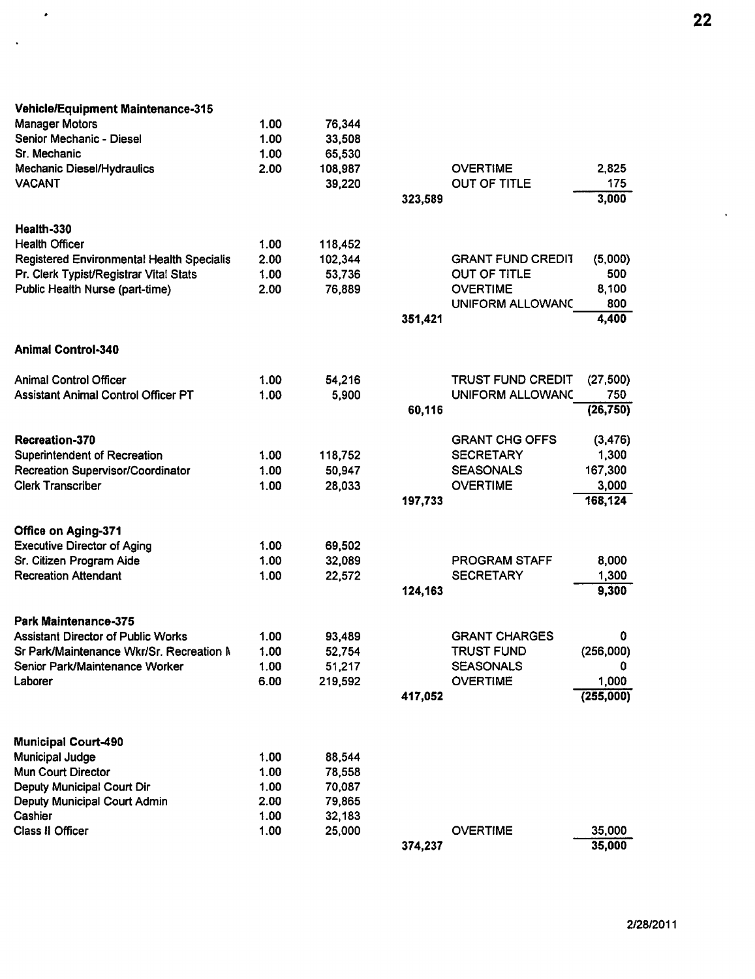| <b>Vehicle/Equipment Maintenance-315</b>   |      |         |         |                          |           |
|--------------------------------------------|------|---------|---------|--------------------------|-----------|
| <b>Manager Motors</b>                      | 1.00 | 76,344  |         |                          |           |
| Senior Mechanic - Diesel                   | 1.00 | 33,508  |         |                          |           |
| Sr. Mechanic                               | 1.00 | 65,530  |         |                          |           |
| Mechanic Diesel/Hydraulics                 | 2.00 | 108,987 |         | <b>OVERTIME</b>          | 2,825     |
| <b>VACANT</b>                              |      | 39,220  |         | OUT OF TITLE             | 175       |
|                                            |      |         | 323,589 |                          | 3,000     |
| Health-330                                 |      |         |         |                          |           |
| <b>Health Officer</b>                      | 1.00 | 118,452 |         |                          |           |
| Registered Environmental Health Specialis  | 2.00 | 102,344 |         | <b>GRANT FUND CREDIT</b> | (5,000)   |
| Pr. Clerk Typist/Registrar Vital Stats     | 1.00 | 53,736  |         | OUT OF TITLE             | 500       |
| Public Health Nurse (part-time)            | 2.00 | 76,889  |         | <b>OVERTIME</b>          | 8,100     |
|                                            |      |         |         | UNIFORM ALLOWANC         | 800       |
|                                            |      |         | 351,421 |                          | 4,400     |
| <b>Animal Control-340</b>                  |      |         |         |                          |           |
|                                            |      |         |         |                          |           |
| <b>Animal Control Officer</b>              | 1.00 | 54,216  |         | <b>TRUST FUND CREDIT</b> | (27, 500) |
| <b>Assistant Animal Control Officer PT</b> | 1.00 | 5,900   |         | <b>UNIFORM ALLOWANC</b>  | 750       |
|                                            |      |         | 60,116  |                          | (26, 750) |
| Recreation-370                             |      |         |         | <b>GRANT CHG OFFS</b>    | (3, 476)  |
| <b>Superintendent of Recreation</b>        | 1.00 | 118,752 |         | <b>SECRETARY</b>         | 1,300     |
| Recreation Supervisor/Coordinator          | 1.00 | 50,947  |         | <b>SEASONALS</b>         | 167,300   |
| <b>Clerk Transcriber</b>                   | 1.00 | 28,033  |         | <b>OVERTIME</b>          | 3,000     |
|                                            |      |         | 197,733 |                          | 168,124   |
| Office on Aging-371                        |      |         |         |                          |           |
| <b>Executive Director of Aging</b>         | 1.00 | 69,502  |         |                          |           |
| Sr. Citizen Program Aide                   | 1.00 | 32,089  |         | <b>PROGRAM STAFF</b>     | 8,000     |
| <b>Recreation Attendant</b>                | 1.00 | 22,572  |         | <b>SECRETARY</b>         | 1,300     |
|                                            |      |         | 124,163 |                          | 9,300     |
| <b>Park Maintenance-375</b>                |      |         |         |                          |           |
| <b>Assistant Director of Public Works</b>  | 1.00 | 93,489  |         | <b>GRANT CHARGES</b>     | 0         |
| Sr Park/Maintenance Wkr/Sr. Recreation N   | 1.00 | 52,754  |         | TRUST FUND               | (256,000) |
| Senior Park/Maintenance Worker             | 1.00 | 51,217  |         | <b>SEASONALS</b>         | 0         |
| Laborer                                    | 6.00 | 219,592 |         | <b>OVERTIME</b>          | 1,000     |
|                                            |      |         | 417,052 |                          | (255,000) |
|                                            |      |         |         |                          |           |
| <b>Municipal Court-490</b>                 |      |         |         |                          |           |
| <b>Municipal Judge</b>                     | 1.00 | 88,544  |         |                          |           |
| Mun Court Director                         | 1.00 | 78,558  |         |                          |           |
| Deputy Municipal Court Dir                 | 1.00 | 70,087  |         |                          |           |
| Deputy Municipal Court Admin               | 2.00 | 79,865  |         |                          |           |
| Cashier                                    | 1.00 | 32,183  |         |                          |           |
| Class II Officer                           | 1.00 | 25,000  |         | <b>OVERTIME</b>          | 35,000    |
|                                            |      |         | 374,237 |                          | 35,000    |

 $\bullet$ 

 $\sim 10^4$ 

 $\hat{\mathbf{r}}$